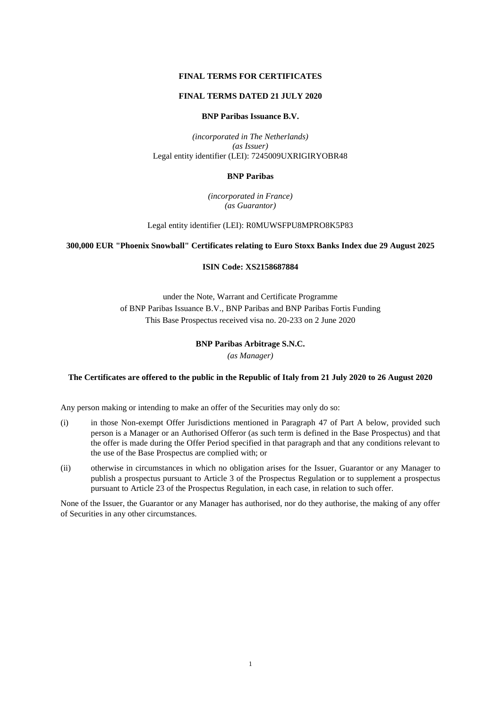## **FINAL TERMS FOR CERTIFICATES**

## **FINAL TERMS DATED 21 JULY 2020**

## **BNP Paribas Issuance B.V.**

*(incorporated in The Netherlands) (as Issuer)* Legal entity identifier (LEI): 7245009UXRIGIRYOBR48

### **BNP Paribas**

*(incorporated in France) (as Guarantor)*

Legal entity identifier (LEI): R0MUWSFPU8MPRO8K5P83

## **300,000 EUR "Phoenix Snowball" Certificates relating to Euro Stoxx Banks Index due 29 August 2025**

## **ISIN Code: XS2158687884**

under the Note, Warrant and Certificate Programme of BNP Paribas Issuance B.V., BNP Paribas and BNP Paribas Fortis Funding This Base Prospectus received visa no. 20-233 on 2 June 2020

## **BNP Paribas Arbitrage S.N.C.**

*(as Manager)*

### **The Certificates are offered to the public in the Republic of Italy from 21 July 2020 to 26 August 2020**

Any person making or intending to make an offer of the Securities may only do so:

- (i) in those Non-exempt Offer Jurisdictions mentioned in Paragraph 47 of Part A below, provided such person is a Manager or an Authorised Offeror (as such term is defined in the Base Prospectus) and that the offer is made during the Offer Period specified in that paragraph and that any conditions relevant to the use of the Base Prospectus are complied with; or
- (ii) otherwise in circumstances in which no obligation arises for the Issuer, Guarantor or any Manager to publish a prospectus pursuant to Article 3 of the Prospectus Regulation or to supplement a prospectus pursuant to Article 23 of the Prospectus Regulation, in each case, in relation to such offer.

None of the Issuer, the Guarantor or any Manager has authorised, nor do they authorise, the making of any offer of Securities in any other circumstances.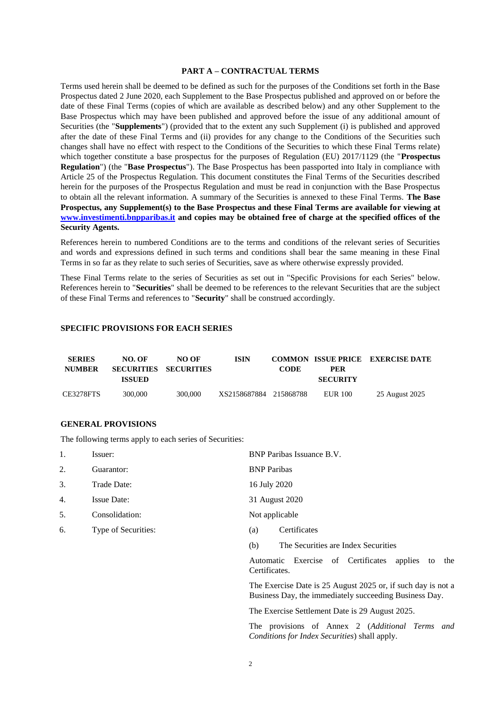## **PART A – CONTRACTUAL TERMS**

Terms used herein shall be deemed to be defined as such for the purposes of the Conditions set forth in the Base Prospectus dated 2 June 2020, each Supplement to the Base Prospectus published and approved on or before the date of these Final Terms (copies of which are available as described below) and any other Supplement to the Base Prospectus which may have been published and approved before the issue of any additional amount of Securities (the "**Supplements**") (provided that to the extent any such Supplement (i) is published and approved after the date of these Final Terms and (ii) provides for any change to the Conditions of the Securities such changes shall have no effect with respect to the Conditions of the Securities to which these Final Terms relate) which together constitute a base prospectus for the purposes of Regulation (EU) 2017/1129 (the "**Prospectus Regulation**") (the "**Base Prospectus**"). The Base Prospectus has been passported into Italy in compliance with Article 25 of the Prospectus Regulation. This document constitutes the Final Terms of the Securities described herein for the purposes of the Prospectus Regulation and must be read in conjunction with the Base Prospectus to obtain all the relevant information. A summary of the Securities is annexed to these Final Terms. **The Base Prospectus, any Supplement(s) to the Base Prospectus and these Final Terms are available for viewing at www.investimenti.bnpparibas.it and copies may be obtained free of charge at the specified offices of the Security Agents.**

References herein to numbered Conditions are to the terms and conditions of the relevant series of Securities and words and expressions defined in such terms and conditions shall bear the same meaning in these Final Terms in so far as they relate to such series of Securities, save as where otherwise expressly provided.

These Final Terms relate to the series of Securities as set out in "Specific Provisions for each Series" below. References herein to "**Securities**" shall be deemed to be references to the relevant Securities that are the subject of these Final Terms and references to "**Security**" shall be construed accordingly.

## **SPECIFIC PROVISIONS FOR EACH SERIES**

| <b>SERIES</b><br><b>NUMBER</b> | NO. OF                   | NO OF<br>SECURITIES SECURITIES | ISIN                   | <b>CODE</b> | PER                        | <b>COMMON ISSUE PRICE EXERCISE DATE</b> |
|--------------------------------|--------------------------|--------------------------------|------------------------|-------------|----------------------------|-----------------------------------------|
| CE3278FTS                      | <b>ISSUED</b><br>300,000 | 300,000                        | XS2158687884 215868788 |             | <b>SECURITY</b><br>EUR 100 | 25 August 2025                          |

### **GENERAL PROVISIONS**

The following terms apply to each series of Securities:

| 1. | Issuer:            | BNP Paribas Issuance B.V. |
|----|--------------------|---------------------------|
| 2. | Guarantor:         | <b>BNP</b> Paribas        |
| 3. | Trade Date:        | 16 July 2020              |
| 4. | <b>Issue Date:</b> | 31 August 2020            |
| 5. | Consolidation:     | Not applicable            |

- 6. Type of Securities: (a) Certificates
	-
	- (b) The Securities are Index Securities

Automatic Exercise of Certificates applies to the Certificates.

The Exercise Date is 25 August 2025 or, if such day is not a Business Day, the immediately succeeding Business Day.

The Exercise Settlement Date is 29 August 2025.

The provisions of Annex 2 (*Additional Terms and Conditions for Index Securities*) shall apply.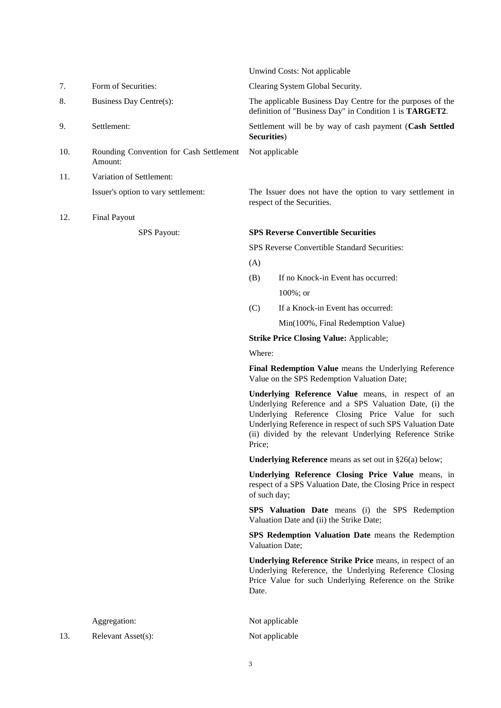| 8.  | Business Day Centre(s):                            | The applicable Business Day Centre for the purposes of the<br>definition of "Business Day" in Condition 1 is TARGET2.                                                                                                                                                                                 |
|-----|----------------------------------------------------|-------------------------------------------------------------------------------------------------------------------------------------------------------------------------------------------------------------------------------------------------------------------------------------------------------|
| 9.  | Settlement:                                        | Settlement will be by way of cash payment (Cash Settled<br>Securities)                                                                                                                                                                                                                                |
| 10. | Rounding Convention for Cash Settlement<br>Amount: | Not applicable                                                                                                                                                                                                                                                                                        |
| 11. | Variation of Settlement:                           |                                                                                                                                                                                                                                                                                                       |
|     | Issuer's option to vary settlement:                | The Issuer does not have the option to vary settlement in<br>respect of the Securities.                                                                                                                                                                                                               |
| 12. | <b>Final Payout</b>                                |                                                                                                                                                                                                                                                                                                       |
|     | SPS Payout:                                        | <b>SPS Reverse Convertible Securities</b>                                                                                                                                                                                                                                                             |
|     |                                                    | SPS Reverse Convertible Standard Securities:                                                                                                                                                                                                                                                          |
|     |                                                    | (A)                                                                                                                                                                                                                                                                                                   |
|     |                                                    | If no Knock-in Event has occurred:<br>(B)                                                                                                                                                                                                                                                             |
|     |                                                    | $100\%$ ; or                                                                                                                                                                                                                                                                                          |
|     |                                                    | (C)<br>If a Knock-in Event has occurred:                                                                                                                                                                                                                                                              |
|     |                                                    | Min(100%, Final Redemption Value)                                                                                                                                                                                                                                                                     |
|     |                                                    | <b>Strike Price Closing Value: Applicable;</b>                                                                                                                                                                                                                                                        |
|     |                                                    | Where:                                                                                                                                                                                                                                                                                                |
|     |                                                    | Final Redemption Value means the Underlying Reference<br>Value on the SPS Redemption Valuation Date;                                                                                                                                                                                                  |
|     |                                                    | Underlying Reference Value means, in respect of an<br>Underlying Reference and a SPS Valuation Date, (i) the<br>Underlying Reference Closing Price Value for such<br>Underlying Reference in respect of such SPS Valuation Date<br>(ii) divided by the relevant Underlying Reference Strike<br>Price; |
|     |                                                    | <b>Underlying Reference</b> means as set out in $\S26(a)$ below;                                                                                                                                                                                                                                      |
|     |                                                    | Underlying Reference Closing Price Value means, in<br>respect of a SPS Valuation Date, the Closing Price in respect<br>of such day;                                                                                                                                                                   |
|     |                                                    | SPS Valuation Date means (i) the SPS Redemption<br>Valuation Date and (ii) the Strike Date;                                                                                                                                                                                                           |
|     |                                                    | SPS Redemption Valuation Date means the Redemption<br>Valuation Date;                                                                                                                                                                                                                                 |
|     |                                                    | Underlying Reference Strike Price means, in respect of an<br>Underlying Reference, the Underlying Reference Closing<br>Price Value for such Underlying Reference on the Strike<br>Date.                                                                                                               |
|     |                                                    |                                                                                                                                                                                                                                                                                                       |
|     | Aggregation:                                       | Not applicable                                                                                                                                                                                                                                                                                        |
| 13. | Relevant Asset(s):                                 | Not applicable                                                                                                                                                                                                                                                                                        |

Unwind Costs: Not applicable

7. Form of Securities: Clearing System Global Security.

```
3
```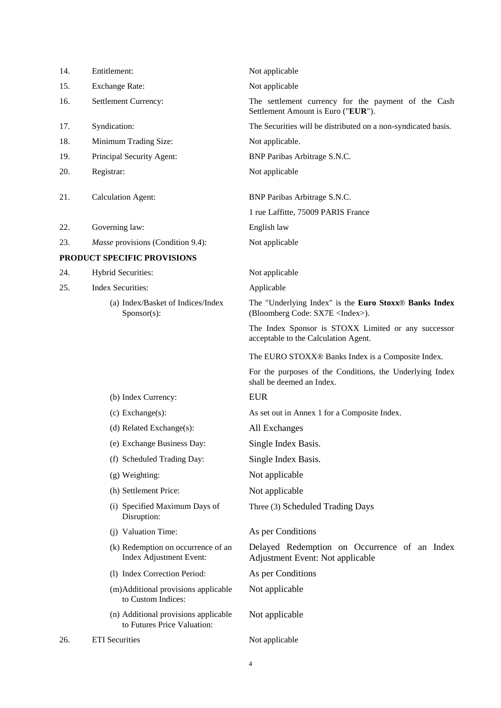| 14. | Entitlement:                                                        | Not applicable                                                                                   |
|-----|---------------------------------------------------------------------|--------------------------------------------------------------------------------------------------|
| 15. | <b>Exchange Rate:</b>                                               | Not applicable                                                                                   |
| 16. | Settlement Currency:                                                | The settlement currency for the payment of the Cash<br>Settlement Amount is Euro ("EUR").        |
| 17. | Syndication:                                                        | The Securities will be distributed on a non-syndicated basis.                                    |
| 18. | Minimum Trading Size:                                               | Not applicable.                                                                                  |
| 19. | Principal Security Agent:                                           | BNP Paribas Arbitrage S.N.C.                                                                     |
| 20. | Registrar:                                                          | Not applicable                                                                                   |
| 21. | <b>Calculation Agent:</b>                                           | BNP Paribas Arbitrage S.N.C.                                                                     |
|     |                                                                     | 1 rue Laffitte, 75009 PARIS France                                                               |
| 22. | Governing law:                                                      | English law                                                                                      |
| 23. | <i>Masse</i> provisions (Condition 9.4):                            | Not applicable                                                                                   |
|     | PRODUCT SPECIFIC PROVISIONS                                         |                                                                                                  |
| 24. | <b>Hybrid Securities:</b>                                           | Not applicable                                                                                   |
| 25. | <b>Index Securities:</b>                                            | Applicable                                                                                       |
|     | (a) Index/Basket of Indices/Index<br>$S_{\text{ponsor}(s)}$ :       | The "Underlying Index" is the Euro Stoxx® Banks Index<br>(Bloomberg Code: SX7E <index>).</index> |
|     |                                                                     | The Index Sponsor is STOXX Limited or any successor<br>acceptable to the Calculation Agent.      |
|     |                                                                     | The EURO STOXX® Banks Index is a Composite Index.                                                |
|     |                                                                     | For the purposes of the Conditions, the Underlying Index<br>shall be deemed an Index.            |
|     | (b) Index Currency:                                                 | <b>EUR</b>                                                                                       |
|     | $(c)$ Exchange $(s)$ :                                              | As set out in Annex 1 for a Composite Index.                                                     |
|     | (d) Related Exchange(s):                                            | All Exchanges                                                                                    |
|     | (e) Exchange Business Day:                                          | Single Index Basis.                                                                              |
|     | (f) Scheduled Trading Day:                                          | Single Index Basis.                                                                              |
|     | (g) Weighting:                                                      | Not applicable                                                                                   |
|     | (h) Settlement Price:                                               | Not applicable                                                                                   |
|     | (i) Specified Maximum Days of<br>Disruption:                        | Three (3) Scheduled Trading Days                                                                 |
|     | (j) Valuation Time:                                                 | As per Conditions                                                                                |
|     | (k) Redemption on occurrence of an<br>Index Adjustment Event:       | Delayed Redemption on Occurrence of an Index<br>Adjustment Event: Not applicable                 |
|     | (1) Index Correction Period:                                        | As per Conditions                                                                                |
|     | (m)Additional provisions applicable<br>to Custom Indices:           | Not applicable                                                                                   |
|     | (n) Additional provisions applicable<br>to Futures Price Valuation: | Not applicable                                                                                   |
| 26. | <b>ETI</b> Securities                                               | Not applicable                                                                                   |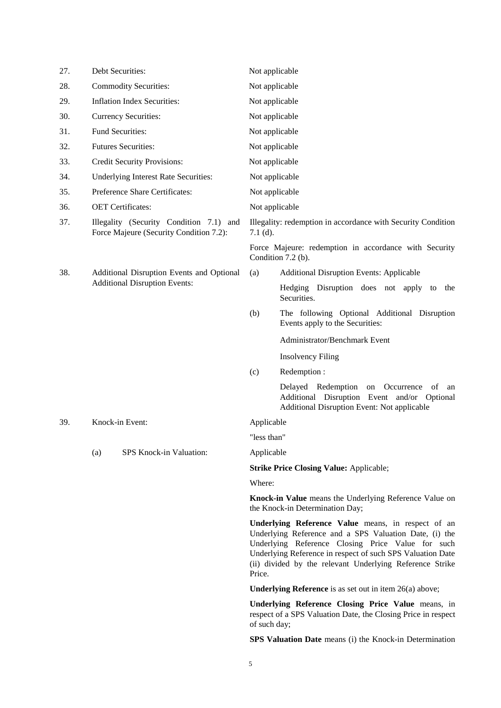| 27. | Debt Securities:                                                                   | Not applicable                                                                                                                                                                                                                                                                                        |            |  |
|-----|------------------------------------------------------------------------------------|-------------------------------------------------------------------------------------------------------------------------------------------------------------------------------------------------------------------------------------------------------------------------------------------------------|------------|--|
| 28. | <b>Commodity Securities:</b>                                                       | Not applicable                                                                                                                                                                                                                                                                                        |            |  |
| 29. | <b>Inflation Index Securities:</b>                                                 | Not applicable                                                                                                                                                                                                                                                                                        |            |  |
| 30. | <b>Currency Securities:</b>                                                        | Not applicable                                                                                                                                                                                                                                                                                        |            |  |
| 31. | Fund Securities:                                                                   | Not applicable                                                                                                                                                                                                                                                                                        |            |  |
| 32. | <b>Futures Securities:</b>                                                         | Not applicable                                                                                                                                                                                                                                                                                        |            |  |
| 33. | Credit Security Provisions:                                                        | Not applicable                                                                                                                                                                                                                                                                                        |            |  |
| 34. | Underlying Interest Rate Securities:                                               | Not applicable                                                                                                                                                                                                                                                                                        |            |  |
| 35. | Preference Share Certificates:                                                     | Not applicable                                                                                                                                                                                                                                                                                        |            |  |
| 36. | <b>OET</b> Certificates:                                                           | Not applicable                                                                                                                                                                                                                                                                                        |            |  |
| 37. | Illegality (Security Condition 7.1) and<br>Force Majeure (Security Condition 7.2): | Illegality: redemption in accordance with Security Condition<br>$7.1$ (d).                                                                                                                                                                                                                            |            |  |
|     |                                                                                    | Force Majeure: redemption in accordance with Security<br>Condition 7.2 (b).                                                                                                                                                                                                                           |            |  |
| 38. | Additional Disruption Events and Optional                                          | <b>Additional Disruption Events: Applicable</b><br>(a)                                                                                                                                                                                                                                                |            |  |
|     | <b>Additional Disruption Events:</b>                                               | Hedging Disruption does not apply to<br>Securities.                                                                                                                                                                                                                                                   | the        |  |
|     |                                                                                    | (b)<br>The following Optional Additional Disruption<br>Events apply to the Securities:                                                                                                                                                                                                                |            |  |
|     |                                                                                    | Administrator/Benchmark Event                                                                                                                                                                                                                                                                         |            |  |
|     |                                                                                    | <b>Insolvency Filing</b>                                                                                                                                                                                                                                                                              |            |  |
|     |                                                                                    | (c)<br>Redemption:                                                                                                                                                                                                                                                                                    |            |  |
|     |                                                                                    | Delayed Redemption on<br>Occurrence<br>Additional Disruption Event and/or Optional<br>Additional Disruption Event: Not applicable                                                                                                                                                                     | - of<br>an |  |
| 39. | Knock-in Event:                                                                    | Applicable                                                                                                                                                                                                                                                                                            |            |  |
|     |                                                                                    | "less than"                                                                                                                                                                                                                                                                                           |            |  |
|     | SPS Knock-in Valuation:<br>(a)                                                     | Applicable                                                                                                                                                                                                                                                                                            |            |  |
|     |                                                                                    | <b>Strike Price Closing Value: Applicable;</b>                                                                                                                                                                                                                                                        |            |  |
|     |                                                                                    | Where:                                                                                                                                                                                                                                                                                                |            |  |
|     |                                                                                    | Knock-in Value means the Underlying Reference Value on<br>the Knock-in Determination Day;                                                                                                                                                                                                             |            |  |
|     |                                                                                    | Underlying Reference Value means, in respect of an<br>Underlying Reference and a SPS Valuation Date, (i) the<br>Underlying Reference Closing Price Value for such<br>Underlying Reference in respect of such SPS Valuation Date<br>(ii) divided by the relevant Underlying Reference Strike<br>Price. |            |  |
|     |                                                                                    | <b>Underlying Reference</b> is as set out in item $26(a)$ above;                                                                                                                                                                                                                                      |            |  |
|     |                                                                                    | Underlying Reference Closing Price Value means, in<br>respect of a SPS Valuation Date, the Closing Price in respect<br>of such day;                                                                                                                                                                   |            |  |
|     |                                                                                    | SPS Valuation Date means (i) the Knock-in Determination                                                                                                                                                                                                                                               |            |  |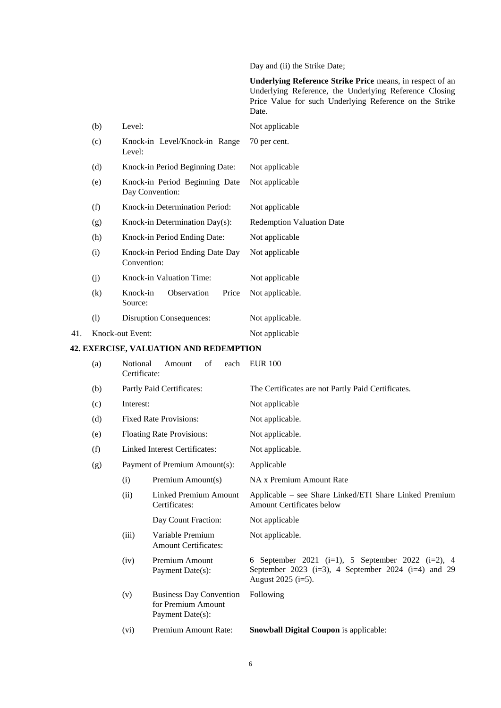Day and (ii) the Strike Date;

**Underlying Reference Strike Price** means, in respect of an Underlying Reference, the Underlying Reference Closing Price Value for such Underlying Reference on the Strike Date.

|     | (b) | Level:                                            | Not applicable                   |
|-----|-----|---------------------------------------------------|----------------------------------|
|     | (c) | Knock-in Level/Knock-in Range<br>Level:           | 70 per cent.                     |
|     | (d) | Knock-in Period Beginning Date:                   | Not applicable                   |
|     | (e) | Knock-in Period Beginning Date<br>Day Convention: | Not applicable                   |
|     | (f) | Knock-in Determination Period:                    | Not applicable                   |
|     | (g) | Knock-in Determination $Day(s)$ :                 | <b>Redemption Valuation Date</b> |
|     | (h) | Knock-in Period Ending Date:                      | Not applicable                   |
|     | (i) | Knock-in Period Ending Date Day<br>Convention:    | Not applicable                   |
|     | (j) | Knock-in Valuation Time:                          | Not applicable                   |
|     | (k) | Price<br>Knock-in<br>Observation<br>Source:       | Not applicable.                  |
|     | (1) | <b>Disruption Consequences:</b>                   | Not applicable.                  |
| 41. |     | Knock-out Event:                                  | Not applicable                   |

# **42. EXERCISE, VALUATION AND REDEMPTION**

| (a) | Notional<br>Certificate:      | of<br>Amount<br>each                                                     | <b>EUR 100</b>                                                                                                                           |  |
|-----|-------------------------------|--------------------------------------------------------------------------|------------------------------------------------------------------------------------------------------------------------------------------|--|
| (b) | Partly Paid Certificates:     |                                                                          | The Certificates are not Partly Paid Certificates.                                                                                       |  |
| (c) | Interest:                     |                                                                          | Not applicable                                                                                                                           |  |
| (d) |                               | <b>Fixed Rate Provisions:</b>                                            | Not applicable.                                                                                                                          |  |
| (e) |                               | <b>Floating Rate Provisions:</b>                                         | Not applicable.                                                                                                                          |  |
| (f) | Linked Interest Certificates: |                                                                          | Not applicable.                                                                                                                          |  |
| (g) |                               | Payment of Premium Amount(s):                                            | Applicable                                                                                                                               |  |
|     | (i)                           | Premium Amount(s)                                                        | NA x Premium Amount Rate                                                                                                                 |  |
|     | (ii)                          | Linked Premium Amount<br>Certificates:                                   | Applicable – see Share Linked/ETI Share Linked Premium<br>Amount Certificates below                                                      |  |
|     |                               | Day Count Fraction:                                                      | Not applicable                                                                                                                           |  |
|     | (iii)                         | Variable Premium<br><b>Amount Certificates:</b>                          | Not applicable.                                                                                                                          |  |
|     | (iv)                          | Premium Amount<br>Payment Date(s):                                       | 6 September 2021 (i=1), 5 September 2022 (i=2), 4<br>September 2023 ( $i=3$ ), 4 September 2024 ( $i=4$ ) and 29<br>August $2025$ (i=5). |  |
|     | (v)                           | <b>Business Day Convention</b><br>for Premium Amount<br>Payment Date(s): | Following                                                                                                                                |  |
|     | (vi)                          | Premium Amount Rate:                                                     | <b>Snowball Digital Coupon is applicable:</b>                                                                                            |  |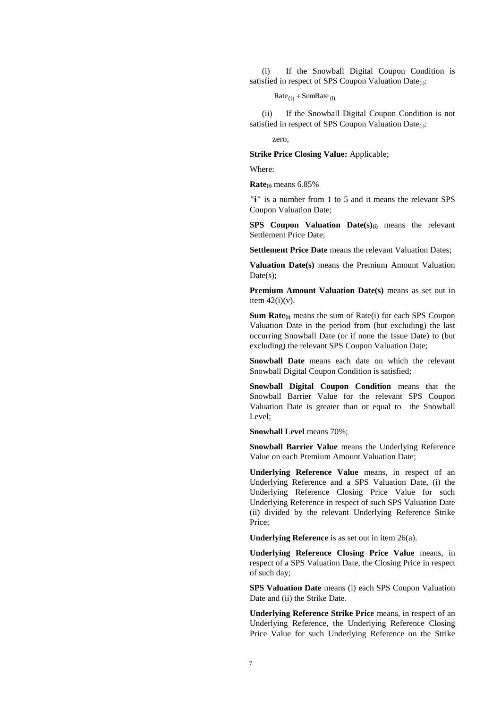(i) If the Snowball Digital Coupon Condition is satisfied in respect of SPS Coupon Valuation Date<sub>(i)</sub>:

 $Rate_{(i)} + SumRate_{(i)}$ 

(ii) If the Snowball Digital Coupon Condition is not satisfied in respect of SPS Coupon Valuation Date<sub>(i)</sub>:

zero,

**Strike Price Closing Value:** Applicable;

Where:

**Rate(i)** means 6.85%

**"i"** is a number from 1 to 5 and it means the relevant SPS Coupon Valuation Date;

**SPS Coupon Valuation Date(s)(i)** means the relevant Settlement Price Date;

**Settlement Price Date** means the relevant Valuation Dates;

**Valuation Date(s)** means the Premium Amount Valuation Date(s):

**Premium Amount Valuation Date(s)** means as set out in item  $42(i)(v)$ .

**Sum Rate(i)** means the sum of Rate(i) for each SPS Coupon Valuation Date in the period from (but excluding) the last occurring Snowball Date (or if none the Issue Date) to (but excluding) the relevant SPS Coupon Valuation Date;

**Snowball Date** means each date on which the relevant Snowball Digital Coupon Condition is satisfied;

**Snowball Digital Coupon Condition** means that the Snowball Barrier Value for the relevant SPS Coupon Valuation Date is greater than or equal to the Snowball Level;

**Snowball Level** means 70%;

**Snowball Barrier Value** means the Underlying Reference Value on each Premium Amount Valuation Date;

**Underlying Reference Value** means, in respect of an Underlying Reference and a SPS Valuation Date, (i) the Underlying Reference Closing Price Value for such Underlying Reference in respect of such SPS Valuation Date (ii) divided by the relevant Underlying Reference Strike Price;

**Underlying Reference** is as set out in item 26(a).

**Underlying Reference Closing Price Value** means, in respect of a SPS Valuation Date, the Closing Price in respect of such day;

**SPS Valuation Date** means (i) each SPS Coupon Valuation Date and (ii) the Strike Date.

**Underlying Reference Strike Price** means, in respect of an Underlying Reference, the Underlying Reference Closing Price Value for such Underlying Reference on the Strike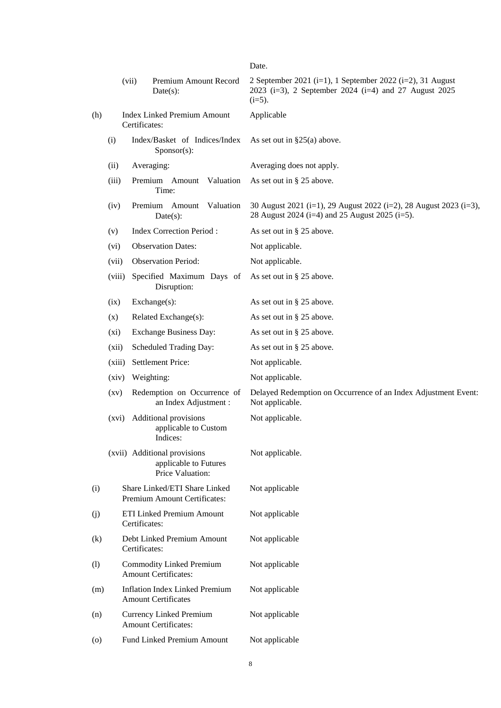Date.

|         |                                                     | (vii)<br>Premium Amount Record<br>$Date(s)$ :                             | 2 September 2021 (i=1), 1 September 2022 (i=2), 31 August<br>2023 (i=3), 2 September 2024 (i=4) and 27 August 2025<br>$(i=5)$ . |
|---------|-----------------------------------------------------|---------------------------------------------------------------------------|---------------------------------------------------------------------------------------------------------------------------------|
| (h)     | <b>Index Linked Premium Amount</b><br>Certificates: |                                                                           | Applicable                                                                                                                      |
|         | (i)                                                 | Index/Basket of Indices/Index<br>$S_{\text{ponsor}(s)}$ :                 | As set out in $\S25(a)$ above.                                                                                                  |
|         | (ii)<br>Averaging:                                  |                                                                           | Averaging does not apply.                                                                                                       |
|         | (iii)                                               | Premium Amount<br>Valuation<br>Time:                                      | As set out in $\S 25$ above.                                                                                                    |
|         | (iv)                                                | Premium Amount<br>Valuation<br>$Date(s)$ :                                | 30 August 2021 (i=1), 29 August 2022 (i=2), 28 August 2023 (i=3),<br>28 August 2024 (i=4) and 25 August 2025 (i=5).             |
|         | (v)                                                 | <b>Index Correction Period:</b>                                           | As set out in $\S$ 25 above.                                                                                                    |
|         | (vi)                                                | <b>Observation Dates:</b>                                                 | Not applicable.                                                                                                                 |
|         | (vii)                                               | <b>Observation Period:</b>                                                | Not applicable.                                                                                                                 |
|         | (viii)                                              | Specified Maximum Days of<br>Disruption:                                  | As set out in $\S 25$ above.                                                                                                    |
|         | (ix)                                                | Exchange(s):                                                              | As set out in $\S 25$ above.                                                                                                    |
|         | (x)                                                 | Related Exchange(s):                                                      | As set out in $\S 25$ above.                                                                                                    |
|         | $(x_i)$                                             | Exchange Business Day:                                                    | As set out in § 25 above.                                                                                                       |
|         | (xii)                                               | Scheduled Trading Day:                                                    | As set out in $\S 25$ above.                                                                                                    |
|         | (xiii)                                              | <b>Settlement Price:</b>                                                  | Not applicable.                                                                                                                 |
|         | (xiv)                                               | Weighting:                                                                | Not applicable.                                                                                                                 |
|         | $\left( xy\right)$                                  | Redemption on Occurrence of<br>an Index Adjustment :                      | Delayed Redemption on Occurrence of an Index Adjustment Event:<br>Not applicable.                                               |
|         | (xvi)                                               | Additional provisions<br>applicable to Custom<br>Indices:                 | Not applicable.                                                                                                                 |
|         |                                                     | (xvii) Additional provisions<br>applicable to Futures<br>Price Valuation: | Not applicable.                                                                                                                 |
| (i)     |                                                     | Share Linked/ETI Share Linked<br>Premium Amount Certificates:             | Not applicable                                                                                                                  |
| (j)     |                                                     | ETI Linked Premium Amount<br>Certificates:                                | Not applicable                                                                                                                  |
| (k)     |                                                     | Debt Linked Premium Amount<br>Certificates:                               | Not applicable                                                                                                                  |
| (1)     |                                                     | <b>Commodity Linked Premium</b><br><b>Amount Certificates:</b>            | Not applicable                                                                                                                  |
| (m)     |                                                     | <b>Inflation Index Linked Premium</b><br><b>Amount Certificates</b>       | Not applicable                                                                                                                  |
| (n)     |                                                     | Currency Linked Premium<br><b>Amount Certificates:</b>                    | Not applicable                                                                                                                  |
| $\circ$ |                                                     | Fund Linked Premium Amount                                                | Not applicable                                                                                                                  |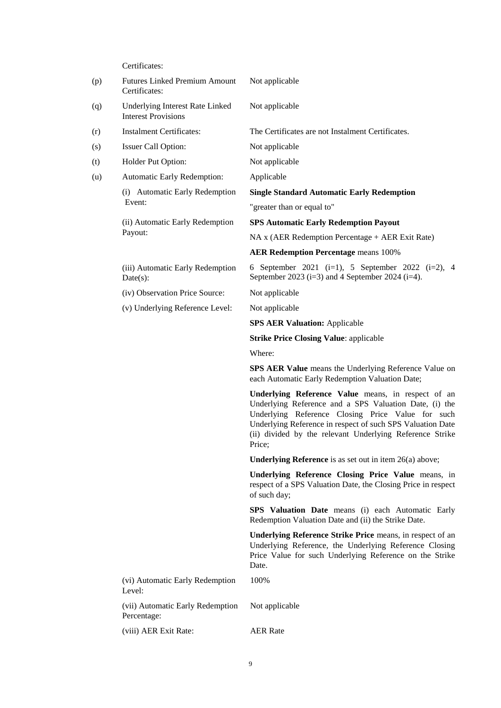Certificates:

| (p) | <b>Futures Linked Premium Amount</b><br>Certificates:         | Not applicable                                                                                                                                                                                                                                                                                        |  |
|-----|---------------------------------------------------------------|-------------------------------------------------------------------------------------------------------------------------------------------------------------------------------------------------------------------------------------------------------------------------------------------------------|--|
| (q) | Underlying Interest Rate Linked<br><b>Interest Provisions</b> | Not applicable                                                                                                                                                                                                                                                                                        |  |
| (r) | <b>Instalment Certificates:</b>                               | The Certificates are not Instalment Certificates.                                                                                                                                                                                                                                                     |  |
| (s) | Issuer Call Option:                                           | Not applicable                                                                                                                                                                                                                                                                                        |  |
| (t) | Holder Put Option:                                            | Not applicable                                                                                                                                                                                                                                                                                        |  |
| (u) | Automatic Early Redemption:                                   | Applicable                                                                                                                                                                                                                                                                                            |  |
|     | (i) Automatic Early Redemption                                | <b>Single Standard Automatic Early Redemption</b>                                                                                                                                                                                                                                                     |  |
|     | Event:                                                        | "greater than or equal to"                                                                                                                                                                                                                                                                            |  |
|     | (ii) Automatic Early Redemption                               | <b>SPS Automatic Early Redemption Payout</b>                                                                                                                                                                                                                                                          |  |
|     | Payout:                                                       | NA x (AER Redemption Percentage + AER Exit Rate)                                                                                                                                                                                                                                                      |  |
|     |                                                               | <b>AER Redemption Percentage means 100%</b>                                                                                                                                                                                                                                                           |  |
|     | (iii) Automatic Early Redemption<br>$Date(s)$ :               | 6 September 2021 (i=1), 5 September 2022 (i=2), 4<br>September 2023 (i=3) and 4 September 2024 (i=4).                                                                                                                                                                                                 |  |
|     | (iv) Observation Price Source:                                | Not applicable                                                                                                                                                                                                                                                                                        |  |
|     | (v) Underlying Reference Level:                               | Not applicable                                                                                                                                                                                                                                                                                        |  |
|     |                                                               | <b>SPS AER Valuation: Applicable</b>                                                                                                                                                                                                                                                                  |  |
|     |                                                               | <b>Strike Price Closing Value: applicable</b>                                                                                                                                                                                                                                                         |  |
|     |                                                               | Where:                                                                                                                                                                                                                                                                                                |  |
|     |                                                               | <b>SPS AER Value</b> means the Underlying Reference Value on<br>each Automatic Early Redemption Valuation Date;                                                                                                                                                                                       |  |
|     |                                                               | Underlying Reference Value means, in respect of an<br>Underlying Reference and a SPS Valuation Date, (i) the<br>Underlying Reference Closing Price Value for such<br>Underlying Reference in respect of such SPS Valuation Date<br>(ii) divided by the relevant Underlying Reference Strike<br>Price; |  |
|     |                                                               | <b>Underlying Reference</b> is as set out in item $26(a)$ above;                                                                                                                                                                                                                                      |  |
|     |                                                               | Underlying Reference Closing Price Value means, in<br>respect of a SPS Valuation Date, the Closing Price in respect<br>of such day;                                                                                                                                                                   |  |
|     |                                                               | <b>SPS Valuation Date</b> means (i) each Automatic Early<br>Redemption Valuation Date and (ii) the Strike Date.                                                                                                                                                                                       |  |
|     |                                                               | Underlying Reference Strike Price means, in respect of an<br>Underlying Reference, the Underlying Reference Closing<br>Price Value for such Underlying Reference on the Strike<br>Date.                                                                                                               |  |
|     | (vi) Automatic Early Redemption<br>Level:                     | 100%                                                                                                                                                                                                                                                                                                  |  |
|     | (vii) Automatic Early Redemption<br>Percentage:               | Not applicable                                                                                                                                                                                                                                                                                        |  |
|     | (viii) AER Exit Rate:                                         | <b>AER Rate</b>                                                                                                                                                                                                                                                                                       |  |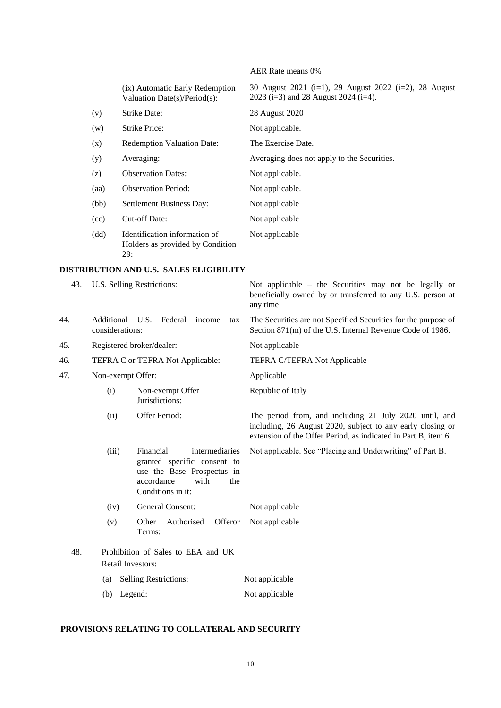|     |                               |                                                                                                                                            | AER Rate means 0%                                                                                                                                                                      |
|-----|-------------------------------|--------------------------------------------------------------------------------------------------------------------------------------------|----------------------------------------------------------------------------------------------------------------------------------------------------------------------------------------|
|     |                               | (ix) Automatic Early Redemption<br>Valuation Date(s)/Period(s):                                                                            | 30 August 2021 (i=1), 29 August 2022 (i=2), 28 August<br>2023 (i=3) and 28 August 2024 (i=4).                                                                                          |
|     | (v)                           | Strike Date:                                                                                                                               | 28 August 2020                                                                                                                                                                         |
|     | (w)                           | Strike Price:                                                                                                                              | Not applicable.                                                                                                                                                                        |
|     | (x)                           | Redemption Valuation Date:                                                                                                                 | The Exercise Date.                                                                                                                                                                     |
|     | (y)                           | Averaging:                                                                                                                                 | Averaging does not apply to the Securities.                                                                                                                                            |
|     | (z)                           | <b>Observation Dates:</b>                                                                                                                  | Not applicable.                                                                                                                                                                        |
|     | (aa)                          | <b>Observation Period:</b>                                                                                                                 | Not applicable.                                                                                                                                                                        |
|     | (bb)                          | Settlement Business Day:                                                                                                                   | Not applicable                                                                                                                                                                         |
|     | (cc)                          | Cut-off Date:                                                                                                                              | Not applicable                                                                                                                                                                         |
|     | (dd)                          | Identification information of<br>Holders as provided by Condition<br>29:                                                                   | Not applicable                                                                                                                                                                         |
|     |                               | DISTRIBUTION AND U.S. SALES ELIGIBILITY                                                                                                    |                                                                                                                                                                                        |
| 43. |                               | U.S. Selling Restrictions:                                                                                                                 | Not applicable $-$ the Securities may not be legally or<br>beneficially owned by or transferred to any U.S. person at<br>any time                                                      |
| 44. | Additional<br>considerations: | U.S.<br>Federal<br>income<br>tax                                                                                                           | The Securities are not Specified Securities for the purpose of<br>Section 871(m) of the U.S. Internal Revenue Code of 1986.                                                            |
| 45. |                               | Registered broker/dealer:                                                                                                                  | Not applicable                                                                                                                                                                         |
| 46. |                               | TEFRA C or TEFRA Not Applicable:                                                                                                           | TEFRA C/TEFRA Not Applicable                                                                                                                                                           |
| 47. |                               | Non-exempt Offer:                                                                                                                          | Applicable                                                                                                                                                                             |
|     | (i)                           | Non-exempt Offer<br>Jurisdictions:                                                                                                         | Republic of Italy                                                                                                                                                                      |
|     | (ii)                          | Offer Period:                                                                                                                              | The period from, and including 21 July 2020 until, and<br>including, 26 August 2020, subject to any early closing or<br>extension of the Offer Period, as indicated in Part B, item 6. |
|     | (iii)                         | Financial<br>intermediaries<br>granted specific consent to<br>use the Base Prospectus in<br>accordance<br>with<br>the<br>Conditions in it: | Not applicable. See "Placing and Underwriting" of Part B.                                                                                                                              |
|     | (iv)                          | General Consent:                                                                                                                           | Not applicable                                                                                                                                                                         |
|     | (v)                           | Offeror<br>Other<br>Authorised<br>Terms:                                                                                                   | Not applicable                                                                                                                                                                         |
| 48. |                               | Prohibition of Sales to EEA and UK<br>Retail Investors:                                                                                    |                                                                                                                                                                                        |
|     | (a)                           | Selling Restrictions:                                                                                                                      | Not applicable                                                                                                                                                                         |
|     |                               | (b) Legend:                                                                                                                                | Not applicable                                                                                                                                                                         |

## **PROVISIONS RELATING TO COLLATERAL AND SECURITY**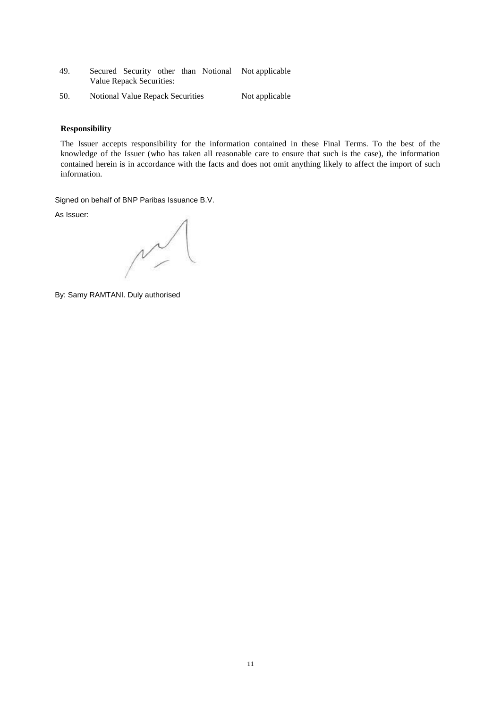- 49. Secured Security other than Notional Not applicable Value Repack Securities:
- 50. Notional Value Repack Securities Not applicable

## **Responsibility**

The Issuer accepts responsibility for the information contained in these Final Terms. To the best of the knowledge of the Issuer (who has taken all reasonable care to ensure that such is the case), the information contained herein is in accordance with the facts and does not omit anything likely to affect the import of such information.

Signed on behalf of BNP Paribas Issuance B.V.

As Issuer:

 $\sim$ 

By: Samy RAMTANI. Duly authorised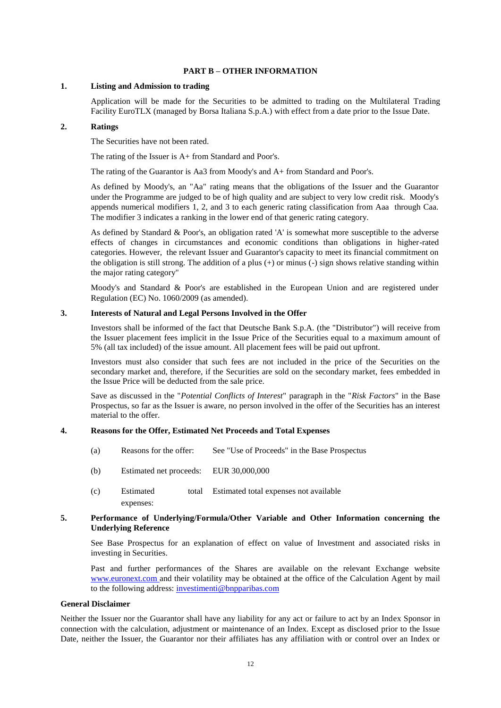## **PART B – OTHER INFORMATION**

## **1. Listing and Admission to trading**

Application will be made for the Securities to be admitted to trading on the Multilateral Trading Facility EuroTLX (managed by Borsa Italiana S.p.A.) with effect from a date prior to the Issue Date.

## **2. Ratings**

The Securities have not been rated.

The rating of the Issuer is A+ from Standard and Poor's.

The rating of the Guarantor is Aa3 from Moody's and A+ from Standard and Poor's.

As defined by Moody's, an "Aa" rating means that the obligations of the Issuer and the Guarantor under the Programme are judged to be of high quality and are subject to very low credit risk. Moody's appends numerical modifiers 1, 2, and 3 to each generic rating classification from Aaa through Caa. The modifier 3 indicates a ranking in the lower end of that generic rating category.

As defined by Standard & Poor's, an obligation rated 'A' is somewhat more susceptible to the adverse effects of changes in circumstances and economic conditions than obligations in higher-rated categories. However, the relevant Issuer and Guarantor's capacity to meet its financial commitment on the obligation is still strong. The addition of a plus  $(+)$  or minus  $(-)$  sign shows relative standing within the major rating category"

Moody's and Standard & Poor's are established in the European Union and are registered under Regulation (EC) No. 1060/2009 (as amended).

## **3. Interests of Natural and Legal Persons Involved in the Offer**

Investors shall be informed of the fact that Deutsche Bank S.p.A. (the "Distributor") will receive from the Issuer placement fees implicit in the Issue Price of the Securities equal to a maximum amount of 5% (all tax included) of the issue amount. All placement fees will be paid out upfront.

Investors must also consider that such fees are not included in the price of the Securities on the secondary market and, therefore, if the Securities are sold on the secondary market, fees embedded in the Issue Price will be deducted from the sale price.

Save as discussed in the "*Potential Conflicts of Interest*" paragraph in the "*Risk Factors*" in the Base Prospectus, so far as the Issuer is aware, no person involved in the offer of the Securities has an interest material to the offer.

## **4. Reasons for the Offer, Estimated Net Proceeds and Total Expenses**

- (a) Reasons for the offer: See "Use of Proceeds" in the Base Prospectus
- (b) Estimated net proceeds: EUR 30,000,000
- (c) Estimated total expenses: Estimated total expenses not available

## **5. Performance of Underlying/Formula/Other Variable and Other Information concerning the Underlying Reference**

See Base Prospectus for an explanation of effect on value of Investment and associated risks in investing in Securities.

Past and further performances of the Shares are available on the relevant Exchange website [www.euronext.com](http://www.euronext.com/) and their volatility may be obtained at the office of the Calculation Agent by mail to the following address: [investimenti@bnpparibas.com](mailto:investimenti@bnpparibas.com)

## **General Disclaimer**

Neither the Issuer nor the Guarantor shall have any liability for any act or failure to act by an Index Sponsor in connection with the calculation, adjustment or maintenance of an Index. Except as disclosed prior to the Issue Date, neither the Issuer, the Guarantor nor their affiliates has any affiliation with or control over an Index or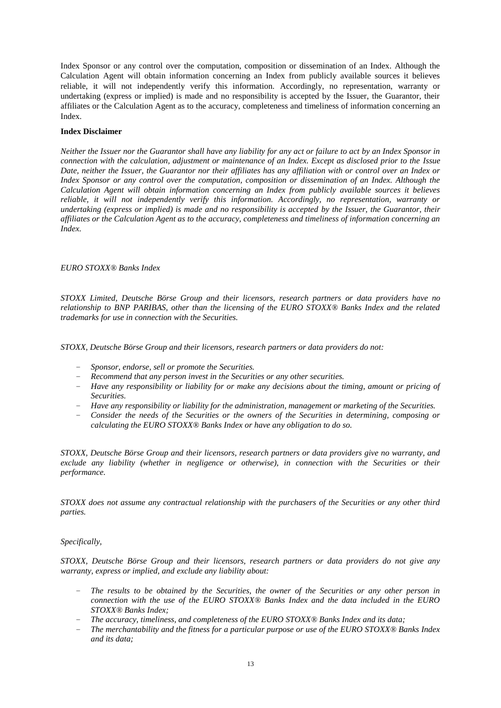Index Sponsor or any control over the computation, composition or dissemination of an Index. Although the Calculation Agent will obtain information concerning an Index from publicly available sources it believes reliable, it will not independently verify this information. Accordingly, no representation, warranty or undertaking (express or implied) is made and no responsibility is accepted by the Issuer, the Guarantor, their affiliates or the Calculation Agent as to the accuracy, completeness and timeliness of information concerning an Index.

## **Index Disclaimer**

*Neither the Issuer nor the Guarantor shall have any liability for any act or failure to act by an Index Sponsor in connection with the calculation, adjustment or maintenance of an Index. Except as disclosed prior to the Issue Date, neither the Issuer, the Guarantor nor their affiliates has any affiliation with or control over an Index or Index Sponsor or any control over the computation, composition or dissemination of an Index. Although the Calculation Agent will obtain information concerning an Index from publicly available sources it believes reliable, it will not independently verify this information. Accordingly, no representation, warranty or undertaking (express or implied) is made and no responsibility is accepted by the Issuer, the Guarantor, their affiliates or the Calculation Agent as to the accuracy, completeness and timeliness of information concerning an Index.*

## *EURO STOXX® Banks Index*

*STOXX Limited, Deutsche Börse Group and their licensors, research partners or data providers have no relationship to BNP PARIBAS, other than the licensing of the EURO STOXX® Banks Index and the related trademarks for use in connection with the Securities.*

*STOXX, Deutsche Börse Group and their licensors, research partners or data providers do not:* 

- *Sponsor, endorse, sell or promote the Securities.*
- *Recommend that any person invest in the Securities or any other securities.*
- *Have any responsibility or liability for or make any decisions about the timing, amount or pricing of Securities.*
- *Have any responsibility or liability for the administration, management or marketing of the Securities.*
- *Consider the needs of the Securities or the owners of the Securities in determining, composing or calculating the EURO STOXX® Banks Index or have any obligation to do so.*

*STOXX, Deutsche Börse Group and their licensors, research partners or data providers give no warranty, and exclude any liability (whether in negligence or otherwise), in connection with the Securities or their performance.*

*STOXX does not assume any contractual relationship with the purchasers of the Securities or any other third parties.*

## *Specifically,*

*STOXX, Deutsche Börse Group and their licensors, research partners or data providers do not give any warranty, express or implied, and exclude any liability about:* 

- *The results to be obtained by the Securities, the owner of the Securities or any other person in connection with the use of the EURO STOXX® Banks Index and the data included in the EURO STOXX® Banks Index;*
- *The accuracy, timeliness, and completeness of the EURO STOXX® Banks Index and its data;*
- *The merchantability and the fitness for a particular purpose or use of the EURO STOXX® Banks Index and its data;*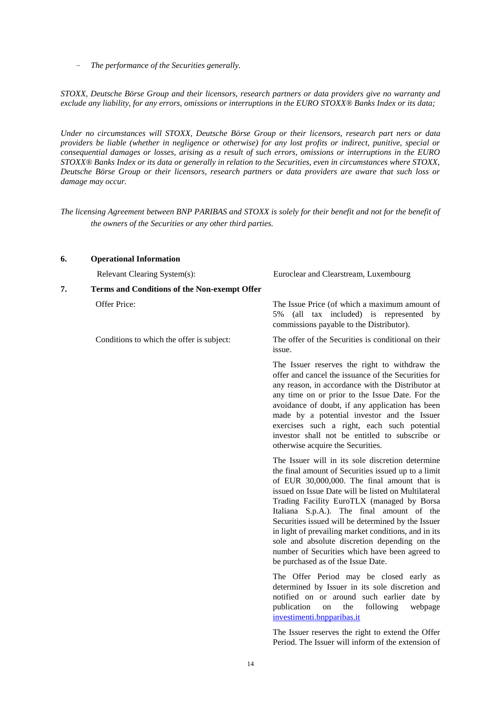– *The performance of the Securities generally.*

*STOXX, Deutsche Börse Group and their licensors, research partners or data providers give no warranty and exclude any liability, for any errors, omissions or interruptions in the EURO STOXX® Banks Index or its data;*

*Under no circumstances will STOXX, Deutsche Börse Group or their licensors, research part ners or data providers be liable (whether in negligence or otherwise) for any lost profits or indirect, punitive, special or consequential damages or losses, arising as a result of such errors, omissions or interruptions in the EURO STOXX® Banks Index or its data or generally in relation to the Securities, even in circumstances where STOXX, Deutsche Börse Group or their licensors, research partners or data providers are aware that such loss or damage may occur.*

*The licensing Agreement between BNP PARIBAS and STOXX is solely for their benefit and not for the benefit of the owners of the Securities or any other third parties.*

| 6. | <b>Operational Information</b>                      |                                                                                                                                                                                                                                                                                                                                                                                                                                                                                                                                                                 |
|----|-----------------------------------------------------|-----------------------------------------------------------------------------------------------------------------------------------------------------------------------------------------------------------------------------------------------------------------------------------------------------------------------------------------------------------------------------------------------------------------------------------------------------------------------------------------------------------------------------------------------------------------|
|    | Relevant Clearing System(s):                        | Euroclear and Clearstream, Luxembourg                                                                                                                                                                                                                                                                                                                                                                                                                                                                                                                           |
| 7. | <b>Terms and Conditions of the Non-exempt Offer</b> |                                                                                                                                                                                                                                                                                                                                                                                                                                                                                                                                                                 |
|    | Offer Price:                                        | The Issue Price (of which a maximum amount of<br>5% (all tax included) is represented by<br>commissions payable to the Distributor).                                                                                                                                                                                                                                                                                                                                                                                                                            |
|    | Conditions to which the offer is subject:           | The offer of the Securities is conditional on their<br>issue.                                                                                                                                                                                                                                                                                                                                                                                                                                                                                                   |
|    |                                                     | The Issuer reserves the right to withdraw the<br>offer and cancel the issuance of the Securities for<br>any reason, in accordance with the Distributor at<br>any time on or prior to the Issue Date. For the<br>avoidance of doubt, if any application has been<br>made by a potential investor and the Issuer<br>exercises such a right, each such potential<br>investor shall not be entitled to subscribe or<br>otherwise acquire the Securities.                                                                                                            |
|    |                                                     | The Issuer will in its sole discretion determine<br>the final amount of Securities issued up to a limit<br>of EUR 30,000,000. The final amount that is<br>issued on Issue Date will be listed on Multilateral<br>Trading Facility EuroTLX (managed by Borsa<br>Italiana S.p.A.). The final amount of the<br>Securities issued will be determined by the Issuer<br>in light of prevailing market conditions, and in its<br>sole and absolute discretion depending on the<br>number of Securities which have been agreed to<br>be purchased as of the Issue Date. |
|    |                                                     | The Offer Period may be closed early as<br>determined by Issuer in its sole discretion and<br>notified on or around such earlier date by<br>publication<br>webpage<br>the<br>following<br>on<br>investimenti.bnpparibas.it                                                                                                                                                                                                                                                                                                                                      |

The Issuer reserves the right to extend the Offer Period. The Issuer will inform of the extension of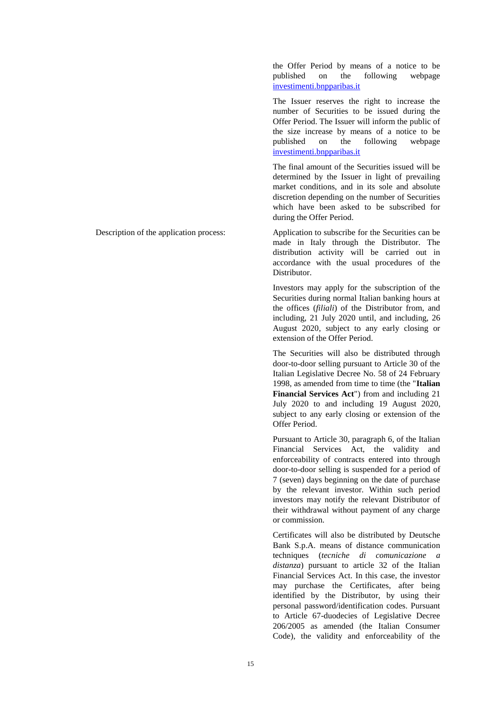the Offer Period by means of a notice to be published on the following webpage investimenti.bnpparibas.it

The Issuer reserves the right to increase the number of Securities to be issued during the Offer Period. The Issuer will inform the public of the size increase by means of a notice to be published on the following webpage investimenti.bnpparibas.it

The final amount of the Securities issued will be determined by the Issuer in light of prevailing market conditions, and in its sole and absolute discretion depending on the number of Securities which have been asked to be subscribed for during the Offer Period.

Description of the application process: Application to subscribe for the Securities can be made in Italy through the Distributor. The distribution activity will be carried out in accordance with the usual procedures of the Distributor.

> Investors may apply for the subscription of the Securities during normal Italian banking hours at the offices (*filiali*) of the Distributor from, and including, 21 July 2020 until, and including, 26 August 2020, subject to any early closing or extension of the Offer Period.

> The Securities will also be distributed through door-to-door selling pursuant to Article 30 of the Italian Legislative Decree No. 58 of 24 February 1998, as amended from time to time (the "**Italian Financial Services Act**") from and including 21 July 2020 to and including 19 August 2020, subject to any early closing or extension of the Offer Period.

> Pursuant to Article 30, paragraph 6, of the Italian Financial Services Act, the validity and enforceability of contracts entered into through door-to-door selling is suspended for a period of 7 (seven) days beginning on the date of purchase by the relevant investor. Within such period investors may notify the relevant Distributor of their withdrawal without payment of any charge or commission.

> Certificates will also be distributed by Deutsche Bank S.p.A. means of distance communication techniques (*tecniche di comunicazione a distanza*) pursuant to article 32 of the Italian Financial Services Act. In this case, the investor may purchase the Certificates, after being identified by the Distributor, by using their personal password/identification codes. Pursuant to Article 67-duodecies of Legislative Decree 206/2005 as amended (the Italian Consumer Code), the validity and enforceability of the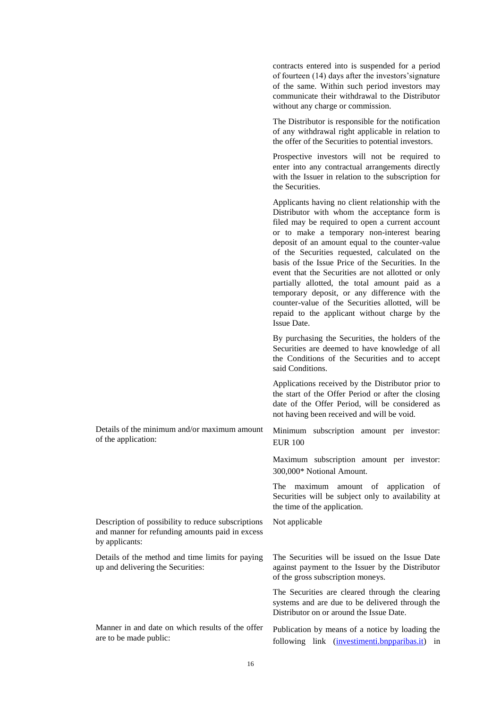of fourteen (14) days after the investors'signature of the same. Within such period investors may communicate their withdrawal to the Distributor without any charge or commission. The Distributor is responsible for the notification of any withdrawal right applicable in relation to the offer of the Securities to potential investors. Prospective investors will not be required to enter into any contractual arrangements directly with the Issuer in relation to the subscription for the Securities. Applicants having no client relationship with the Distributor with whom the acceptance form is filed may be required to open a current account or to make a temporary non-interest bearing deposit of an amount equal to the counter-value of the Securities requested, calculated on the basis of the Issue Price of the Securities. In the event that the Securities are not allotted or only partially allotted, the total amount paid as a temporary deposit, or any difference with the counter-value of the Securities allotted, will be repaid to the applicant without charge by the Issue Date. By purchasing the Securities, the holders of the Securities are deemed to have knowledge of all the Conditions of the Securities and to accept said Conditions. Applications received by the Distributor prior to the start of the Offer Period or after the closing date of the Offer Period, will be considered as not having been received and will be void. Details of the minimum and/or maximum amount of the application: Minimum subscription amount per investor: EUR 100 Maximum subscription amount per investor: 300,000\* Notional Amount. The maximum amount of application of Securities will be subject only to availability at the time of the application. Description of possibility to reduce subscriptions and manner for refunding amounts paid in excess by applicants: Not applicable Details of the method and time limits for paying up and delivering the Securities: The Securities will be issued on the Issue Date against payment to the Issuer by the Distributor of the gross subscription moneys. The Securities are cleared through the clearing systems and are due to be delivered through the Distributor on or around the Issue Date. Manner in and date on which results of the offer are to be made public: Publication by means of a notice by loading the following link (investimenti.bnpparibas.it) in

contracts entered into is suspended for a period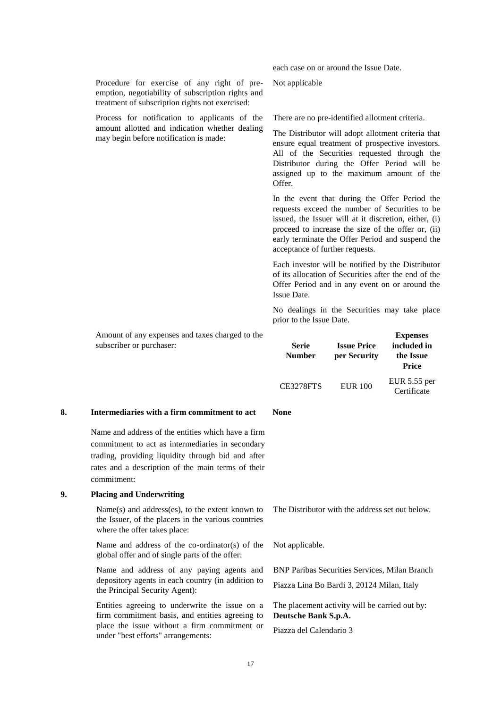|    |                                                                                                                                                              | each case on or around the Issue Date.                                                                                                                                                                                                                                                                |                                    |                                                             |
|----|--------------------------------------------------------------------------------------------------------------------------------------------------------------|-------------------------------------------------------------------------------------------------------------------------------------------------------------------------------------------------------------------------------------------------------------------------------------------------------|------------------------------------|-------------------------------------------------------------|
|    | Procedure for exercise of any right of pre-<br>emption, negotiability of subscription rights and<br>treatment of subscription rights not exercised:          | Not applicable                                                                                                                                                                                                                                                                                        |                                    |                                                             |
|    | Process for notification to applicants of the                                                                                                                | There are no pre-identified allotment criteria.                                                                                                                                                                                                                                                       |                                    |                                                             |
|    | amount allotted and indication whether dealing<br>may begin before notification is made:                                                                     | The Distributor will adopt allotment criteria that<br>ensure equal treatment of prospective investors.<br>All of the Securities requested through the<br>Distributor during the Offer Period will be<br>assigned up to the maximum amount of the<br>Offer.                                            |                                    |                                                             |
|    |                                                                                                                                                              | In the event that during the Offer Period the<br>requests exceed the number of Securities to be<br>issued, the Issuer will at it discretion, either, (i)<br>proceed to increase the size of the offer or, (ii)<br>early terminate the Offer Period and suspend the<br>acceptance of further requests. |                                    |                                                             |
|    |                                                                                                                                                              | Each investor will be notified by the Distributor<br>of its allocation of Securities after the end of the<br>Offer Period and in any event on or around the<br>Issue Date.                                                                                                                            |                                    |                                                             |
|    |                                                                                                                                                              | prior to the Issue Date.                                                                                                                                                                                                                                                                              |                                    | No dealings in the Securities may take place                |
|    | Amount of any expenses and taxes charged to the<br>subscriber or purchaser:                                                                                  | <b>Serie</b><br><b>Number</b>                                                                                                                                                                                                                                                                         | <b>Issue Price</b><br>per Security | <b>Expenses</b><br>included in<br>the Issue<br><b>Price</b> |
|    |                                                                                                                                                              | <b>CE3278FTS</b>                                                                                                                                                                                                                                                                                      | <b>EUR 100</b>                     | EUR 5.55 per<br>Certificate                                 |
| 8. | Intermediaries with a firm commitment to act                                                                                                                 | <b>None</b>                                                                                                                                                                                                                                                                                           |                                    |                                                             |
|    | Name and address of the entities which have a firm<br>commitment to act as intermediaries in secondary<br>trading, providing liquidity through bid and after |                                                                                                                                                                                                                                                                                                       |                                    |                                                             |

## **9. Placing and Underwriting**

commitment:

Name(s) and address(es), to the extent known to the Issuer, of the placers in the various countries where the offer takes place:

rates and a description of the main terms of their

Name and address of the co-ordinator(s) of the global offer and of single parts of the offer:

Name and address of any paying agents and depository agents in each country (in addition to the Principal Security Agent):

Entities agreeing to underwrite the issue on a firm commitment basis, and entities agreeing to place the issue without a firm commitment or under "best efforts" arrangements:

The Distributor with the address set out below.

Not applicable.

BNP Paribas Securities Services, Milan Branch

Piazza Lina Bo Bardi 3, 20124 Milan, Italy

The placement activity will be carried out by: **Deutsche Bank S.p.A.**

Piazza del Calendario 3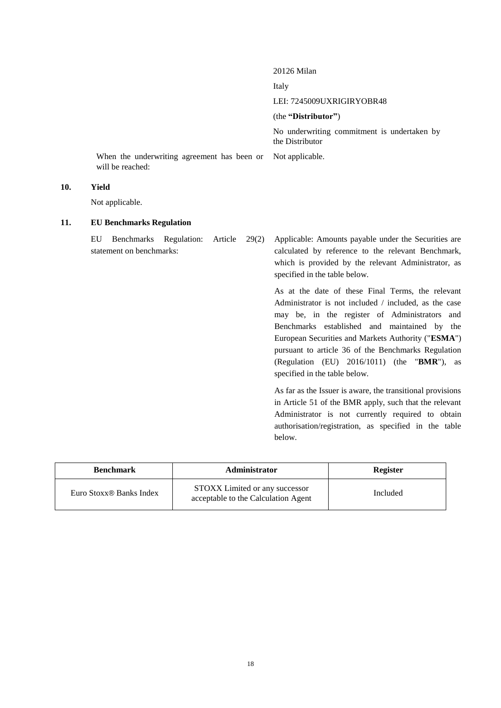## 20126 Milan

Italy

LEI: 7245009UXRIGIRYOBR48

## (the **"Distributor"**)

No underwriting commitment is undertaken by the Distributor

When the underwriting agreement has been or will be reached: Not applicable.

## **10. Yield**

Not applicable.

## **11. EU Benchmarks Regulation**

EU Benchmarks Regulation: Article 29(2) statement on benchmarks:

Applicable: Amounts payable under the Securities are calculated by reference to the relevant Benchmark, which is provided by the relevant Administrator, as specified in the table below.

As at the date of these Final Terms, the relevant Administrator is not included / included, as the case may be, in the register of Administrators and Benchmarks established and maintained by the European Securities and Markets Authority ("**ESMA**") pursuant to article 36 of the Benchmarks Regulation (Regulation (EU) 2016/1011) (the "**BMR**"), as specified in the table below.

As far as the Issuer is aware, the transitional provisions in Article 51 of the BMR apply, such that the relevant Administrator is not currently required to obtain authorisation/registration, as specified in the table below.

| <b>Benchmark</b>                    | <b>Administrator</b>                                                  | <b>Register</b> |
|-------------------------------------|-----------------------------------------------------------------------|-----------------|
| Euro Stoxx <sup>®</sup> Banks Index | STOXX Limited or any successor<br>acceptable to the Calculation Agent | Included        |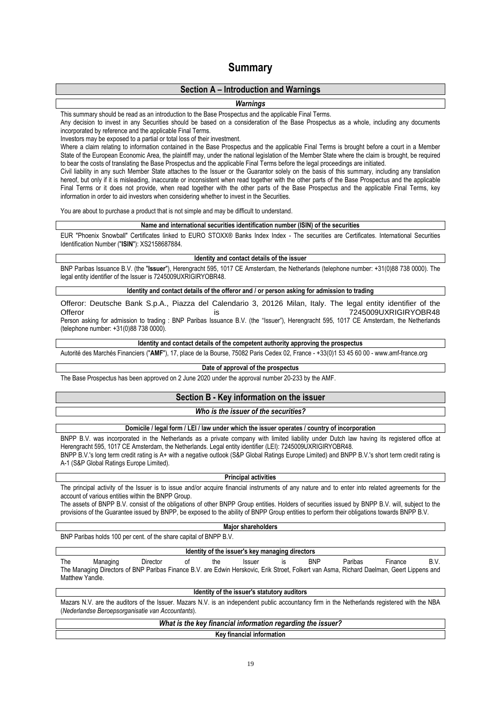# **Summary**

## **Section A – Introduction and Warnings**

### *Warnings*

This summary should be read as an introduction to the Base Prospectus and the applicable Final Terms.

Any decision to invest in any Securities should be based on a consideration of the Base Prospectus as a whole, including any documents incorporated by reference and the applicable Final Terms.

Investors may be exposed to a partial or total loss of their investment.

Where a claim relating to information contained in the Base Prospectus and the applicable Final Terms is brought before a court in a Member State of the European Economic Area, the plaintiff may, under the national legislation of the Member State where the claim is brought, be required to bear the costs of translating the Base Prospectus and the applicable Final Terms before the legal proceedings are initiated.

Civil liability in any such Member State attaches to the Issuer or the Guarantor solely on the basis of this summary, including any translation hereof, but only if it is misleading, inaccurate or inconsistent when read together with the other parts of the Base Prospectus and the applicable Final Terms or it does not provide, when read together with the other parts of the Base Prospectus and the applicable Final Terms, key information in order to aid investors when considering whether to invest in the Securities.

You are about to purchase a product that is not simple and may be difficult to understand.

### **Name and international securities identification number (ISIN) of the securities**

EUR "Phoenix Snowball" Certificates linked to EURO STOXX® Banks Index Index - The securities are Certificates. International Securities Identification Number ("**ISIN**"): XS2158687884.

#### **Identity and contact details of the issuer**

BNP Paribas Issuance B.V. (the "**Issuer**"), Herengracht 595, 1017 CE Amsterdam, the Netherlands (telephone number: +31(0)88 738 0000). The legal entity identifier of the Issuer is 7245009UXRIGIRYOBR48.

### **Identity and contact details of the offeror and / or person asking for admission to trading**

Offeror: Deutsche Bank S.p.A., Piazza del Calendario 3, 20126 Milan, Italy. The legal entity identifier of the is  $7245009UXRIGIRYOBR48$ Person asking for admission to trading : BNP Paribas Issuance B.V. (the "Issuer"), Herengracht 595, 1017 CE Amsterdam, the Netherlands

(telephone number: +31(0)88 738 0000).

## **Identity and contact details of the competent authority approving the prospectus**

Autorité des Marchés Financiers ("**AMF**"), 17, place de la Bourse, 75082 Paris Cedex 02, France - +33(0)1 53 45 60 00 - www.amf-france.org

#### **Date of approval of the prospectus**

The Base Prospectus has been approved on 2 June 2020 under the approval number 20-233 by the AMF.

## **Section B - Key information on the issuer**

### *Who is the issuer of the securities?*

### **Domicile / legal form / LEI / law under which the issuer operates / country of incorporation**

BNPP B.V. was incorporated in the Netherlands as a private company with limited liability under Dutch law having its registered office at Herengracht 595, 1017 CE Amsterdam, the Netherlands. Legal entity identifier (LEI): 7245009UXRIGIRYOBR48. BNPP B.V.'s long term credit rating is A+ with a negative outlook (S&P Global Ratings Europe Limited) and BNPP B.V.'s short term credit rating is A-1 (S&P Global Ratings Europe Limited).

### **Principal activities**

The principal activity of the Issuer is to issue and/or acquire financial instruments of any nature and to enter into related agreements for the account of various entities within the BNPP Group.

The assets of BNPP B.V. consist of the obligations of other BNPP Group entities. Holders of securities issued by BNPP B.V. will, subject to the provisions of the Guarantee issued by BNPP, be exposed to the ability of BNPP Group entities to perform their obligations towards BNPP B.V.

## **Major shareholders**

BNP Paribas holds 100 per cent. of the share capital of BNPP B.V.

### **Identity of the issuer's key managing directors**

The Managing Director of the Issuer is BNP Paribas Finance B.V. The Managing Directors of BNP Paribas Finance B.V. are Edwin Herskovic, Erik Stroet, Folkert van Asma, Richard Daelman, Geert Lippens and Matthew Yandle.

### **Identity of the issuer's statutory auditors**

Mazars N.V. are the auditors of the Issuer. Mazars N.V. is an independent public accountancy firm in the Netherlands registered with the NBA (*Nederlandse Beroepsorganisatie van Accountants*).

## *What is the key financial information regarding the issuer?*

**Key financial information**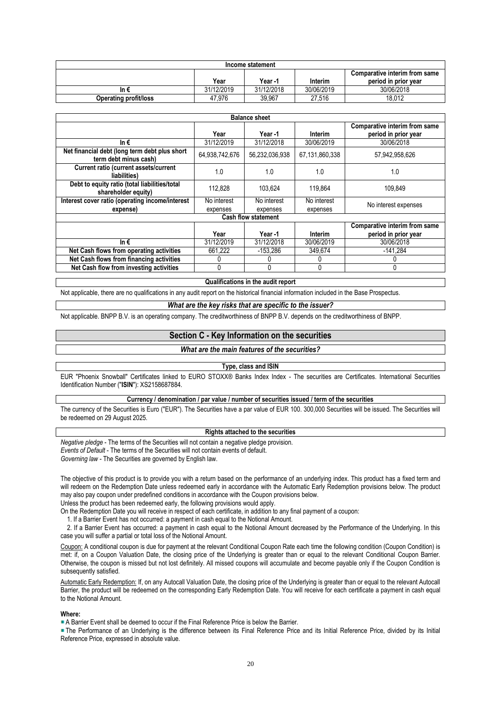|                              |            | Income statement |            |                               |
|------------------------------|------------|------------------|------------|-------------------------------|
|                              |            |                  |            | Comparative interim from same |
|                              | Year       | Year -1          | Interim    | period in prior year          |
| In €                         | 31/12/2019 | 31/12/2018       | 30/06/2019 | 30/06/2018                    |
| <b>Operating profit/loss</b> | 47.976     | 39.967           | 27.516     | 18.012                        |

|                                                                        |                                                       | <b>Balance sheet</b>       |                |                                                       |
|------------------------------------------------------------------------|-------------------------------------------------------|----------------------------|----------------|-------------------------------------------------------|
|                                                                        | Year                                                  | Year -1                    | Interim        | Comparative interim from same<br>period in prior year |
| In€                                                                    | 31/12/2019                                            | 31/12/2018                 | 30/06/2019     | 30/06/2018                                            |
| Net financial debt (long term debt plus short<br>term debt minus cash) | 64,938,742,676                                        | 56,232,036,938             | 67,131,860,338 | 57,942,958,626                                        |
| <b>Current ratio (current assets/current</b><br>liabilities)           | 1.0                                                   | 1.0                        | 1.0            | 1.0                                                   |
| Debt to equity ratio (total liabilities/total<br>shareholder equity)   | 112,828                                               | 103.624                    | 119,864        | 109,849                                               |
| Interest cover ratio (operating income/interest                        | No interest                                           | No interest                | No interest    | No interest expenses                                  |
| expense)                                                               | expenses                                              | expenses                   | expenses       |                                                       |
|                                                                        |                                                       | <b>Cash flow statement</b> |                |                                                       |
|                                                                        | Comparative interim from same<br>period in prior year |                            |                |                                                       |
| In $\epsilon$                                                          | 31/12/2019                                            | 31/12/2018                 | 30/06/2019     | 30/06/2018                                            |
| Net Cash flows from operating activities                               | 661,222                                               | $-153.286$                 | 349,674        | $-141,284$                                            |
| Net Cash flows from financing activities                               |                                                       |                            |                |                                                       |
| Net Cash flow from investing activities                                |                                                       |                            | $\Omega$       | 0                                                     |

**Qualifications in the audit report**

Not applicable, there are no qualifications in any audit report on the historical financial information included in the Base Prospectus.

#### *What are the key risks that are specific to the issuer?*

Not applicable. BNPP B.V. is an operating company. The creditworthiness of BNPP B.V. depends on the creditworthiness of BNPP.

## **Section C - Key Information on the securities**

### *What are the main features of the securities?*

#### **Type, class and ISIN**

EUR "Phoenix Snowball" Certificates linked to EURO STOXX® Banks Index Index - The securities are Certificates. International Securities Identification Number ("**ISIN**"): XS2158687884.

### **Currency / denomination / par value / number of securities issued / term of the securities**

The currency of the Securities is Euro ("EUR"). The Securities have a par value of EUR 100. 300,000 Securities will be issued. The Securities will be redeemed on 29 August 2025.

### **Rights attached to the securities**

*Negative pledge* - The terms of the Securities will not contain a negative pledge provision. *Events of Default* - The terms of the Securities will not contain events of default. *Governing law* - The Securities are governed by English law.

The objective of this product is to provide you with a return based on the performance of an underlying index. This product has a fixed term and will redeem on the Redemption Date unless redeemed early in accordance with the Automatic Early Redemption provisions below. The product may also pay coupon under predefined conditions in accordance with the Coupon provisions below.

Unless the product has been redeemed early, the following provisions would apply.

On the Redemption Date you will receive in respect of each certificate, in addition to any final payment of a coupon:

1. If a Barrier Event has not occurred: a payment in cash equal to the Notional Amount.

 2. If a Barrier Event has occurred: a payment in cash equal to the Notional Amount decreased by the Performance of the Underlying. In this case you will suffer a partial or total loss of the Notional Amount.

Coupon: A conditional coupon is due for payment at the relevant Conditional Coupon Rate each time the following condition (Coupon Condition) is met: if, on a Coupon Valuation Date, the closing price of the Underlying is greater than or equal to the relevant Conditional Coupon Barrier. Otherwise, the coupon is missed but not lost definitely. All missed coupons will accumulate and become payable only if the Coupon Condition is subsequently satisfied.

Automatic Early Redemption: If, on any Autocall Valuation Date, the closing price of the Underlying is greater than or equal to the relevant Autocall Barrier, the product will be redeemed on the corresponding Early Redemption Date. You will receive for each certificate a payment in cash equal to the Notional Amount.

## **Where:**

**A Barrier Event shall be deemed to occur if the Final Reference Price is below the Barrier.** 

The Performance of an Underlying is the difference between its Final Reference Price and its Initial Reference Price, divided by its Initial Reference Price, expressed in absolute value.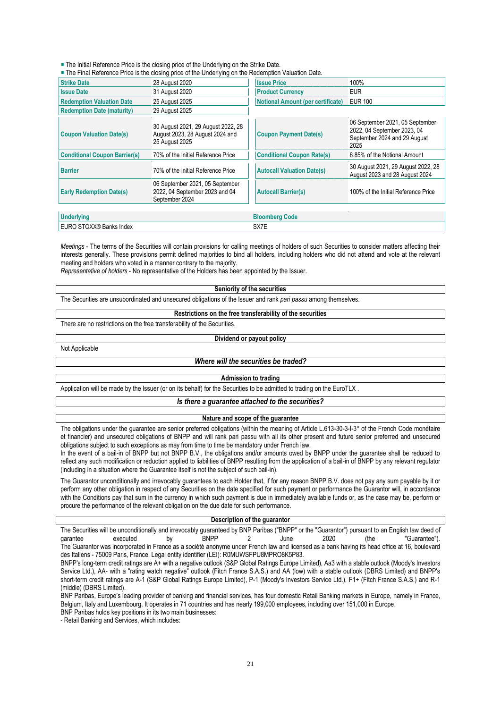**The Initial Reference Price is the closing price of the Underlying on the Strike Date.** 

The Final Reference Price is the closing price of the Underlying on the Redemption Valuation Date.

| <b>Strike Date</b>                   | 28 August 2020                                                                          | <b>Issue Price</b>                       | 100%                                                                                                   |
|--------------------------------------|-----------------------------------------------------------------------------------------|------------------------------------------|--------------------------------------------------------------------------------------------------------|
| <b>Issue Date</b>                    | 31 August 2020                                                                          | <b>Product Currency</b>                  | <b>EUR</b>                                                                                             |
| <b>Redemption Valuation Date</b>     | 25 August 2025                                                                          | <b>Notional Amount (per certificate)</b> | <b>EUR 100</b>                                                                                         |
| <b>Redemption Date (maturity)</b>    | 29 August 2025                                                                          |                                          |                                                                                                        |
| <b>Coupon Valuation Date(s)</b>      | 30 August 2021, 29 August 2022, 28<br>August 2023, 28 August 2024 and<br>25 August 2025 | <b>Coupon Payment Date(s)</b>            | 06 September 2021, 05 September<br>2022, 04 September 2023, 04<br>September 2024 and 29 August<br>2025 |
| <b>Conditional Coupon Barrier(s)</b> | 70% of the Initial Reference Price                                                      | <b>Conditional Coupon Rate(s)</b>        | 6.85% of the Notional Amount                                                                           |
| <b>Barrier</b>                       | 70% of the Initial Reference Price                                                      | <b>Autocall Valuation Date(s)</b>        | 30 August 2021, 29 August 2022, 28<br>August 2023 and 28 August 2024                                   |
| <b>Early Redemption Date(s)</b>      | 06 September 2021, 05 September<br>2022, 04 September 2023 and 04<br>September 2024     | <b>Autocall Barrier(s)</b>               | 100% of the Initial Reference Price                                                                    |
|                                      |                                                                                         |                                          |                                                                                                        |
| <b>Underlying</b>                    |                                                                                         | <b>Bloomberg Code</b>                    |                                                                                                        |
| EURO STOXX® Banks Index              |                                                                                         | SX7E                                     |                                                                                                        |

*Meetings* - The terms of the Securities will contain provisions for calling meetings of holders of such Securities to consider matters affecting their interests generally. These provisions permit defined majorities to bind all holders, including holders who did not attend and vote at the relevant meeting and holders who voted in a manner contrary to the majority.

*Representative of holders* - No representative of the Holders has been appointed by the Issuer.

The Securities are unsubordinated and unsecured obligations of the Issuer and rank *pari passu* among themselves.

#### **Restrictions on the free transferability of the securities**

**Seniority of the securities**

There are no restrictions on the free transferability of the Securities.

## **Dividend or payout policy**

Not Applicable

### *Where will the securities be traded?*

#### **Admission to trading**

Application will be made by the Issuer (or on its behalf) for the Securities to be admitted to trading on the EuroTLX.

## *Is there a guarantee attached to the securities?*

### **Nature and scope of the guarantee**

The obligations under the guarantee are senior preferred obligations (within the meaning of Article L.613-30-3-I-3° of the French Code monétaire et financier) and unsecured obligations of BNPP and will rank pari passu with all its other present and future senior preferred and unsecured obligations subject to such exceptions as may from time to time be mandatory under French law.

In the event of a bail-in of BNPP but not BNPP B.V., the obligations and/or amounts owed by BNPP under the guarantee shall be reduced to reflect any such modification or reduction applied to liabilities of BNPP resulting from the application of a bail-in of BNPP by any relevant regulator (including in a situation where the Guarantee itself is not the subject of such bail-in).

The Guarantor unconditionally and irrevocably guarantees to each Holder that, if for any reason BNPP B.V. does not pay any sum payable by it or perform any other obligation in respect of any Securities on the date specified for such payment or performance the Guarantor will, in accordance with the Conditions pay that sum in the currency in which such payment is due in immediately available funds or, as the case may be, perform or procure the performance of the relevant obligation on the due date for such performance.

### **Description of the guarantor**

The Securities will be unconditionally and irrevocably guaranteed by BNP Paribas ("BNPP" or the "Guarantor") pursuant to an English law deed of garantee by BNPP 2 June 2020 (the "Guarantee"). garantee executed by BNPP 2 June 2020 (the "Guarantee"). The Guarantor was incorporated in France as a société anonyme under French law and licensed as a bank having its head office at 16, boulevard des Italiens - 75009 Paris, France. Legal entity identifier (LEI): R0MUWSFPU8MPRO8K5P83.

BNPP's long-term credit ratings are A+ with a negative outlook (S&P Global Ratings Europe Limited), Aa3 with a stable outlook (Moody's Investors Service Ltd.), AA- with a "rating watch negative" outlook (Fitch France S.A.S.) and AA (low) with a stable outlook (DBRS Limited) and BNPP's short-term credit ratings are A-1 (S&P Global Ratings Europe Limited), P-1 (Moody's Investors Service Ltd.), F1+ (Fitch France S.A.S.) and R-1 (middle) (DBRS Limited).

BNP Paribas, Europe's leading provider of banking and financial services, has four domestic Retail Banking markets in Europe, namely in France, Belgium, Italy and Luxembourg. It operates in 71 countries and has nearly 199,000 employees, including over 151,000 in Europe. BNP Paribas holds key positions in its two main businesses:

- Retail Banking and Services, which includes: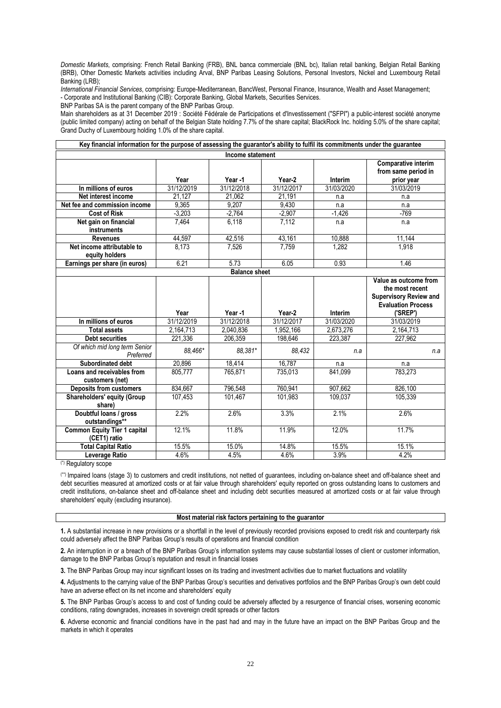*Domestic Markets*, comprising: French Retail Banking (FRB), BNL banca commerciale (BNL bc), Italian retail banking, Belgian Retail Banking (BRB), Other Domestic Markets activities including Arval, BNP Paribas Leasing Solutions, Personal Investors, Nickel and Luxembourg Retail Banking (LRB);

*International Financial Services*, comprising: Europe-Mediterranean, BancWest, Personal Finance, Insurance, Wealth and Asset Management; - Corporate and Institutional Banking (CIB): Corporate Banking, Global Markets, Securities Services.

BNP Paribas SA is the parent company of the BNP Paribas Group.

Main shareholders as at 31 December 2019 : Société Fédérale de Participations et d'Investissement ("SFPI") a public-interest société anonyme (public limited company) acting on behalf of the Belgian State holding 7.7% of the share capital; BlackRock Inc. holding 5.0% of the share capital; Grand Duchy of Luxembourg holding 1.0% of the share capital.

| Key financial information for the purpose of assessing the guarantor's ability to fulfil its commitments under the guarantee |            |                      |               |               |                                                                           |
|------------------------------------------------------------------------------------------------------------------------------|------------|----------------------|---------------|---------------|---------------------------------------------------------------------------|
|                                                                                                                              |            | Income statement     |               |               |                                                                           |
|                                                                                                                              | Year       | Year-1               | Year-2        | Interim       | <b>Comparative interim</b><br>from same period in<br>prior year           |
| In millions of euros                                                                                                         | 31/12/2019 | 31/12/2018           | 31/12/2017    | 31/03/2020    | 31/03/2019                                                                |
| Net interest income                                                                                                          | 21.127     | 21.062               | 21.191        | n.a           | n.a                                                                       |
| Net fee and commission income                                                                                                | 9,365      | 9.207                | 9,430         | n.a           | n.a                                                                       |
| <b>Cost of Risk</b>                                                                                                          | $-3.203$   | $-2.764$             | $-2.907$      | $-1,426$      | $-769$                                                                    |
| Net gain on financial<br>instruments                                                                                         | 7.464      | 6.118                | 7,112         | n.a           | n.a                                                                       |
| <b>Revenues</b>                                                                                                              | 44,597     | 42,516               | 43,161        | 10,888        | 11,144                                                                    |
| Net income attributable to<br>equity holders                                                                                 | 8,173      | 7,526                | 7,759         | 1,282         | 1,918                                                                     |
| Earnings per share (in euros)                                                                                                | 6.21       | 5.73                 | 6.05          | 0.93          | 1.46                                                                      |
|                                                                                                                              |            | <b>Balance sheet</b> |               |               |                                                                           |
|                                                                                                                              |            |                      |               |               | Value as outcome from<br>the most recent<br><b>Supervisory Review and</b> |
|                                                                                                                              | Year       | Year-1               | Year-2        | Interim       | <b>Evaluation Process</b><br>('SREP')                                     |
| In millions of euros                                                                                                         | 31/12/2019 | 31/12/2018           | 31/12/2017    | 31/03/2020    | 31/03/2019                                                                |
| <b>Total assets</b>                                                                                                          | 2,164,713  | 2,040,836            | 1,952,166     | 2,673,276     | 2,164,713                                                                 |
| <b>Debt securities</b>                                                                                                       | 221.336    | 206.359              | 198.646       | 223.387       | 227,962                                                                   |
| Of which mid long term Senior<br>Preferred                                                                                   | 88.466*    | 88.381*              | 88,432        | n.a           | n.a                                                                       |
| <b>Subordinated debt</b>                                                                                                     | 20,896     | 18,414               | 16,787        | n.a           | n.a                                                                       |
| Loans and receivables from                                                                                                   | 805,777    | 765,871              | 735,013       | 841,099       | 783,273                                                                   |
| customers (net)                                                                                                              |            |                      |               |               |                                                                           |
| <b>Deposits from customers</b>                                                                                               | 834,667    | 796,548              | 760,941       | 907,662       | 826,100                                                                   |
| <b>Shareholders' equity (Group</b><br>share)                                                                                 | 107,453    | 101,467              | 101,983       | 109,037       | 105,339                                                                   |
| Doubtful loans / gross<br>outstandings**                                                                                     | 2.2%       | 2.6%                 | 3.3%          | 2.1%          | 2.6%                                                                      |
| Common Equity Tier 1 capital<br>(CET1) ratio                                                                                 | 12.1%      | 11.8%                | 11.9%         | 12.0%         | 11.7%                                                                     |
| <b>Total Capital Ratio</b>                                                                                                   | 15.5%      | 15.0%<br>4.5%        | 14.8%<br>4.6% | 15.5%<br>3.9% | 15.1%<br>4.2%                                                             |

(\*) Regulatory scope

(\*\*) Impaired loans (stage 3) to customers and credit institutions, not netted of guarantees, including on-balance sheet and off-balance sheet and debt securities measured at amortized costs or at fair value through shareholders' equity reported on gross outstanding loans to customers and credit institutions, on-balance sheet and off-balance sheet and including debt securities measured at amortized costs or at fair value through shareholders' equity (excluding insurance).

### **Most material risk factors pertaining to the guarantor**

**1.** A substantial increase in new provisions or a shortfall in the level of previously recorded provisions exposed to credit risk and counterparty risk could adversely affect the BNP Paribas Group's results of operations and financial condition

**2.** An interruption in or a breach of the BNP Paribas Group's information systems may cause substantial losses of client or customer information, damage to the BNP Paribas Group's reputation and result in financial losses

**3.** The BNP Paribas Group may incur significant losses on its trading and investment activities due to market fluctuations and volatility

**4.** Adjustments to the carrying value of the BNP Paribas Group's securities and derivatives portfolios and the BNP Paribas Group's own debt could have an adverse effect on its net income and shareholders' equity

**5.** The BNP Paribas Group's access to and cost of funding could be adversely affected by a resurgence of financial crises, worsening economic conditions, rating downgrades, increases in sovereign credit spreads or other factors

**6.** Adverse economic and financial conditions have in the past had and may in the future have an impact on the BNP Paribas Group and the markets in which it operates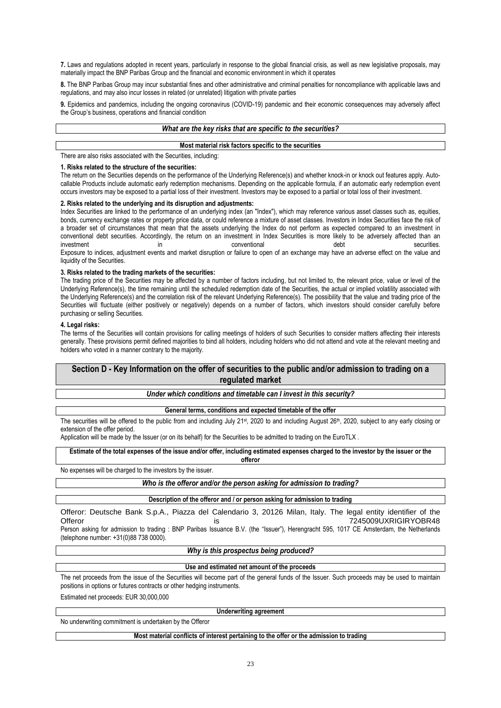**7.** Laws and regulations adopted in recent years, particularly in response to the global financial crisis, as well as new legislative proposals, may materially impact the BNP Paribas Group and the financial and economic environment in which it operates

**8.** The BNP Paribas Group may incur substantial fines and other administrative and criminal penalties for noncompliance with applicable laws and regulations, and may also incur losses in related (or unrelated) litigation with private parties

**9.** Epidemics and pandemics, including the ongoing coronavirus (COVID-19) pandemic and their economic consequences may adversely affect the Group's business, operations and financial condition

## *What are the key risks that are specific to the securities?*

## **Most material risk factors specific to the securities**

There are also risks associated with the Securities, including:

### **1. Risks related to the structure of the securities:**

The return on the Securities depends on the performance of the Underlying Reference(s) and whether knock-in or knock out features apply. Autocallable Products include automatic early redemption mechanisms. Depending on the applicable formula, if an automatic early redemption event occurs investors may be exposed to a partial loss of their investment. Investors may be exposed to a partial or total loss of their investment.

### **2. Risks related to the underlying and its disruption and adjustments:**

Index Securities are linked to the performance of an underlying index (an "Index"), which may reference various asset classes such as, equities, bonds, currency exchange rates or property price data, or could reference a mixture of asset classes. Investors in Index Securities face the risk of a broader set of circumstances that mean that the assets underlying the Index do not perform as expected compared to an investment in conventional debt securities. Accordingly, the return on an investment in Index Securities is more likely to be adversely affected than an investment securities. The conventional conventional debt securities. Exposure to indices, adjustment events and market disruption or failure to open of an exchange may have an adverse effect on the value and liquidity of the Securities.

#### **3. Risks related to the trading markets of the securities:**

The trading price of the Securities may be affected by a number of factors including, but not limited to, the relevant price, value or level of the Underlying Reference(s), the time remaining until the scheduled redemption date of the Securities, the actual or implied volatility associated with the Underlying Reference(s) and the correlation risk of the relevant Underlying Reference(s). The possibility that the value and trading price of the Securities will fluctuate (either positively or negatively) depends on a number of factors, which investors should consider carefully before purchasing or selling Securities.

#### **4. Legal risks:**

The terms of the Securities will contain provisions for calling meetings of holders of such Securities to consider matters affecting their interests generally. These provisions permit defined majorities to bind all holders, including holders who did not attend and vote at the relevant meeting and holders who voted in a manner contrary to the majority.

## **Section D - Key Information on the offer of securities to the public and/or admission to trading on a regulated market**

### *Under which conditions and timetable can I invest in this security?*

### **General terms, conditions and expected timetable of the offer**

The securities will be offered to the public from and including July 21<sup>st</sup>, 2020 to and including August 26<sup>th</sup>, 2020, subject to any early closing or extension of the offer period.

Application will be made by the Issuer (or on its behalf) for the Securities to be admitted to trading on the EuroTLX .

#### **Estimate of the total expenses of the issue and/or offer, including estimated expenses charged to the investor by the issuer or the offeror**

No expenses will be charged to the investors by the issuer.

## *Who is the offeror and/or the person asking for admission to trading?*

### **Description of the offeror and / or person asking for admission to trading**

Offeror: Deutsche Bank S.p.A., Piazza del Calendario 3, 20126 Milan, Italy. The legal entity identifier of the Offeror in the contract of the contract of the contract of the contract of the contract of the contract of the contract of the contract of the contract of the contract of the contract of the contract of the contract of the Person asking for admission to trading : BNP Paribas Issuance B.V. (the "Issuer"), Herengracht 595, 1017 CE Amsterdam, the Netherlands

(telephone number: +31(0)88 738 0000).

### *Why is this prospectus being produced?*

### **Use and estimated net amount of the proceeds**

The net proceeds from the issue of the Securities will become part of the general funds of the Issuer. Such proceeds may be used to maintain positions in options or futures contracts or other hedging instruments.

Estimated net proceeds: EUR 30,000,000

**Underwriting agreement**

No underwriting commitment is undertaken by the Offeror

### **Most material conflicts of interest pertaining to the offer or the admission to trading**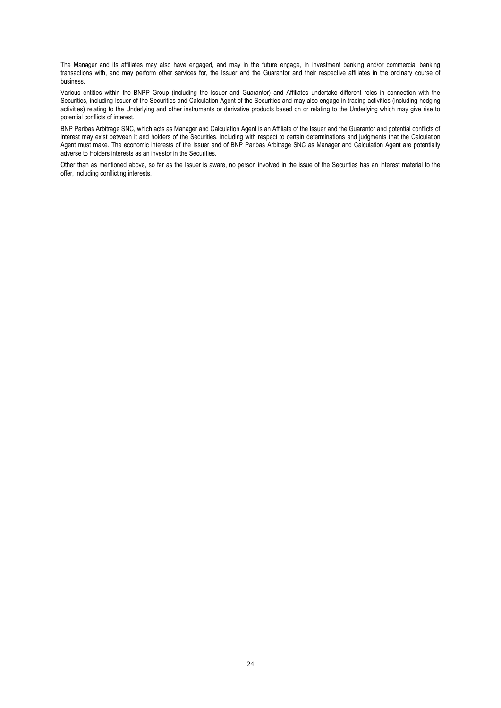The Manager and its affiliates may also have engaged, and may in the future engage, in investment banking and/or commercial banking transactions with, and may perform other services for, the Issuer and the Guarantor and their respective affiliates in the ordinary course of business.

Various entities within the BNPP Group (including the Issuer and Guarantor) and Affiliates undertake different roles in connection with the Securities, including Issuer of the Securities and Calculation Agent of the Securities and may also engage in trading activities (including hedging activities) relating to the Underlying and other instruments or derivative products based on or relating to the Underlying which may give rise to potential conflicts of interest.

BNP Paribas Arbitrage SNC, which acts as Manager and Calculation Agent is an Affiliate of the Issuer and the Guarantor and potential conflicts of interest may exist between it and holders of the Securities, including with respect to certain determinations and judgments that the Calculation Agent must make. The economic interests of the Issuer and of BNP Paribas Arbitrage SNC as Manager and Calculation Agent are potentially adverse to Holders interests as an investor in the Securities.

Other than as mentioned above, so far as the Issuer is aware, no person involved in the issue of the Securities has an interest material to the offer, including conflicting interests.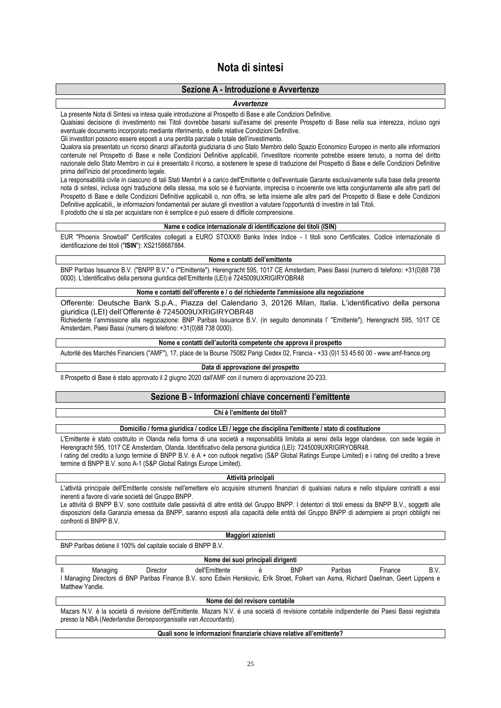# **Nota di sintesi**

## **Sezione A - Introduzione e Avvertenze**

## *Avvertenze*

### La presente Nota di Sintesi va intesa quale introduzione al Prospetto di Base e alle Condizioni Definitive.

Qualsiasi decisione di investimento nei Titoli dovrebbe basarsi sull'esame del presente Prospetto di Base nella sua interezza, incluso ogni eventuale documento incorporato mediante riferimento, e delle relative Condizioni Definitive.

Gli investitori possono essere esposti a una perdita parziale o totale dell'investimento.

Qualora sia presentato un ricorso dinanzi all'autorità giudiziaria di uno Stato Membro dello Spazio Economico Europeo in merito alle informazioni contenute nel Prospetto di Base e nelle Condizioni Definitive applicabili, l'investitore ricorrente potrebbe essere tenuto, a norma del diritto nazionale dello Stato Membro in cui è presentato il ricorso, a sostenere le spese di traduzione del Prospetto di Base e delle Condizioni Definitive prima dell'inizio del procedimento legale.

La responsabilità civile in ciascuno di tali Stati Membri è a carico dell'Emittente o dell'eventuale Garante esclusivamente sulla base della presente nota di sintesi, inclusa ogni traduzione della stessa, ma solo se è fuorviante, imprecisa o incoerente ove letta congiuntamente alle altre parti del Prospetto di Base e delle Condizioni Definitive applicabili o, non offra, se letta insieme alle altre parti del Prospetto di Base e delle Condizioni Definitive applicabili,, le informazioni fondamentali per aiutare gli investitori a valutare l'opportunità di investire in tali Titoli. Il prodotto che si sta per acquistare non è semplice e può essere di difficile comprensione.

## **Name e codice internazionale di identificazione dei titoli (ISIN)**

EUR "Phoenix Snowball" Certificates collegati a EURO STOXX® Banks Index Indice - I titoli sono Certificates. Codice internazionale di identificazione dei titoli ("**ISIN**"): XS2158687884.

### **Nome e contatti dell'emittente**

BNP Paribas Issuance B.V. ("BNPP B.V." o l'"Emittente"). Herengracht 595, 1017 CE Amsterdam, Paesi Bassi (numero di telefono: +31(0)88 738 0000). L'identificativo della persona giuridica dell'Emittente (LEI):è 7245009UXRIGIRYOBR48

## **Nome e contatti dell'offerente e / o del richiedente l'ammissione alla negoziazione**

Offerente: Deutsche Bank S.p.A., Piazza del Calendario 3, 20126 Milan, Italia. L'identificativo della persona giuridica (LEI) dell'Offerente è 7245009UXRIGIRYOBR48 Richiedente l'ammissione alla negoziazione: BNP Paribas Issuance B.V. (in seguito denominata l' "Emittente"), Herengracht 595, 1017 CE

Amsterdam, Paesi Bassi (numero di telefono: +31(0)88 738 0000).

### **Nome e contatti dell'autorità competente che approva il prospetto**

Autorité des Marchés Financiers ("AMF"), 17, place de la Bourse 75082 Parigi Cedex 02, Francia - +33 (0)1 53 45 60 00 - www.amf-france.org

## **Data di approvazione del prospetto**

Il Prospetto di Base è stato approvato il 2 giugno 2020 dall'AMF con il numero di approvazione 20-233.

## **Sezione B - Informazioni chiave concernenti l'emittente**

### **Chi è l'emittente dei titoli?**

### **Domicilio / forma giuridica / codice LEI / legge che disciplina l'emittente / stato di costituzione**

L'Emittente è stato costituito in Olanda nella forma di una società a responsabilità limitata ai sensi della legge olandese, con sede legale in Herengracht 595, 1017 CE Amsterdam, Olanda. Identificativo della persona giuridica (LEI): 7245009UXRIGIRYOBR48. I rating del credito a lungo termine di BNPP B.V. è A + con outlook negativo (S&P Global Ratings Europe Limited) e i rating del credito a breve termine di BNPP B.V. sono A-1 (S&P Global Ratings Europe Limited).

### **Attività principali**

L'attività principale dell'Emittente consiste nell'emettere e/o acquisire strumenti finanziari di qualsiasi natura e nello stipulare contratti a essi inerenti a favore di varie società del Gruppo BNPP.

Le attività di BNPP B.V. sono costituite dalle passività di altre entità del Gruppo BNPP. I detentori di titoli emessi da BNPP B.V., soggetti alle disposizioni della Garanzia emessa da BNPP, saranno esposti alla capacità delle entità del Gruppo BNPP di adempiere ai propri obblighi nei confronti di BNPP B.V.

#### **Maggiori azionisti**

BNP Paribas detiene il 100% del capitale sociale di BNPP B.V.

|                 |          | Nome dei suoi principali dirigenti                                                                                                     |            |         |         |     |
|-----------------|----------|----------------------------------------------------------------------------------------------------------------------------------------|------------|---------|---------|-----|
| Managing        | Director | dell'Emittente                                                                                                                         | <b>BNP</b> | Paribas | Finance | B.V |
| Matthew Yandle. |          | l Managing Directors di BNP Paribas Finance B.V. sono Edwin Herskovic, Erik Stroet, Folkert van Asma, Richard Daelman, Geert Lippens e |            |         |         |     |

#### **Nome dei del revisore contabile**

Mazars N.V. è la società di revisione dell'Emittente. Mazars N.V. è una società di revisione contabile indipendente dei Paesi Bassi registrata presso la NBA (*Nederlandse Beroepsorganisatie van Accountants*).

## **Quali sono le informazioni finanziarie chiave relative all'emittente?**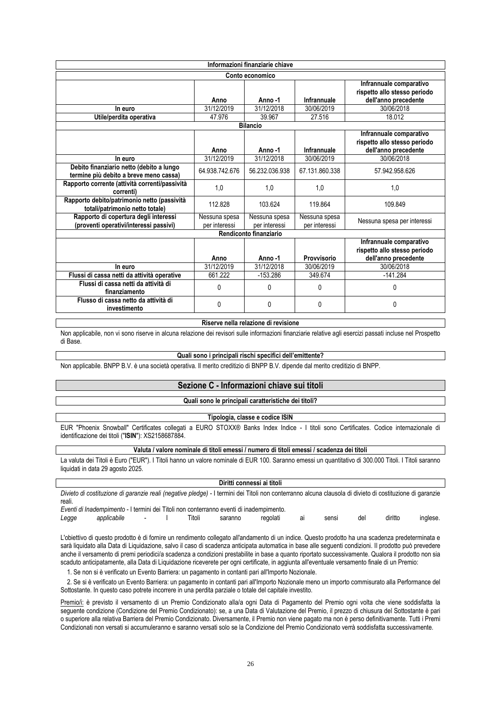|                                                                                    |                                | Informazioni finanziarie chiave |                                |                                                                                 |
|------------------------------------------------------------------------------------|--------------------------------|---------------------------------|--------------------------------|---------------------------------------------------------------------------------|
|                                                                                    |                                | Conto economico                 |                                |                                                                                 |
|                                                                                    | Anno                           | Anno-1                          | Infrannuale                    | Infrannuale comparativo<br>rispetto allo stesso periodo<br>dell'anno precedente |
| In euro                                                                            | 31/12/2019                     | 31/12/2018                      | 30/06/2019                     | 30/06/2018                                                                      |
| Utile/perdita operativa                                                            | 47.976                         | 39.967                          | 27.516                         | 18.012                                                                          |
|                                                                                    |                                | <b>Bilancio</b>                 |                                |                                                                                 |
|                                                                                    | Anno                           | Anno-1                          | Infrannuale                    | Infrannuale comparativo<br>rispetto allo stesso periodo<br>dell'anno precedente |
| In euro                                                                            | 31/12/2019                     | 31/12/2018                      | 30/06/2019                     | 30/06/2018                                                                      |
| Debito finanziario netto (debito a lungo<br>termine più debito a breve meno cassa) | 64.938.742.676                 | 56.232.036.938                  | 67.131.860.338                 | 57.942.958.626                                                                  |
| Rapporto corrente (attività correnti/passività<br>correnti)                        | 1,0                            | 1,0                             | 1.0                            | 1,0                                                                             |
| Rapporto debito/patrimonio netto (passività<br>totali/patrimonio netto totale)     | 112.828                        | 103.624                         | 119.864                        | 109.849                                                                         |
| Rapporto di copertura degli interessi<br>(proventi operativi/interessi passivi)    | Nessuna spesa<br>per interessi | Nessuna spesa<br>per interessi  | Nessuna spesa<br>per interessi | Nessuna spesa per interessi                                                     |
|                                                                                    |                                | Rendiconto finanziario          |                                |                                                                                 |
|                                                                                    | Anno                           | Anno-1                          | Provvisorio                    | Infrannuale comparativo<br>rispetto allo stesso periodo<br>dell'anno precedente |
| In euro                                                                            | 31/12/2019                     | 31/12/2018                      | 30/06/2019                     | 30/06/2018                                                                      |
| Flussi di cassa netti da attività operative                                        | 661.222                        | $-153.286$                      | 349.674                        | $-141.284$                                                                      |
| Flussi di cassa netti da attività di<br>finanziamento                              | 0                              | 0                               | $\Omega$                       | 0                                                                               |
| Flusso di cassa netto da attività di<br>investimento                               | 0                              | 0                               | 0                              | 0                                                                               |

#### **Riserve nella relazione di revisione**

Non applicabile, non vi sono riserve in alcuna relazione dei revisori sulle informazioni finanziarie relative agli esercizi passati incluse nel Prospetto di Base.

### **Quali sono i principali rischi specifici dell'emittente?**

Non applicabile. BNPP B.V. è una società operativa. Il merito creditizio di BNPP B.V. dipende dal merito creditizio di BNPP.

### **Sezione C - Informazioni chiave sui titoli**

### **Quali sono le principali caratteristiche dei titoli?**

### **Tipologia, classe e codice ISIN**

EUR "Phoenix Snowball" Certificates collegati a EURO STOXX® Banks Index Indice - I titoli sono Certificates. Codice internazionale di identificazione dei titoli ("**ISIN**"): XS2158687884.

### **Valuta / valore nominale di titoli emessi / numero di titoli emessi / scadenza dei titoli**

La valuta dei Titoli è Euro ("EUR"). I Titoli hanno un valore nominale di EUR 100. Saranno emessi un quantitativo di 300.000 Titoli. I Titoli saranno liquidati in data 29 agosto 2025.

|        |                                                                                                                                                           |        |        |         | Diritti connessi ai titoli |    |       |    |         |          |
|--------|-----------------------------------------------------------------------------------------------------------------------------------------------------------|--------|--------|---------|----------------------------|----|-------|----|---------|----------|
| reali. | Divieto di costituzione di garanzie reali (negative pledge) - I termini dei Titoli non conterranno alcuna clausola di divieto di costituzione di garanzie |        |        |         |                            |    |       |    |         |          |
|        | Eventi di Inadempimento - I termini dei Titoli non conterranno eventi di inadempimento.                                                                   |        |        |         |                            |    |       |    |         |          |
| ∟egge  | applicabile                                                                                                                                               | $\sim$ | Titoli | saranno | regolati                   | aı | sensi | de | diritto | inglese. |

L'obiettivo di questo prodotto è di fornire un rendimento collegato all'andamento di un indice. Questo prodotto ha una scadenza predeterminata e sarà liquidato alla Data di Liquidazione, salvo il caso di scadenza anticipata automatica in base alle seguenti condizioni. Il prodotto può prevedere anche il versamento di premi periodici/a scadenza a condizioni prestabilite in base a quanto riportato successivamente. Qualora il prodotto non sia scaduto anticipatamente, alla Data di Liquidazione riceverete per ogni certificate, in aggiunta all'eventuale versamento finale di un Premio:

1. Se non si è verificato un Evento Barriera: un pagamento in contanti pari all'Importo Nozionale.

 2. Se si è verificato un Evento Barriera: un pagamento in contanti pari all'Importo Nozionale meno un importo commisurato alla Performance del Sottostante. In questo caso potrete incorrere in una perdita parziale o totale del capitale investito.

Premio/i: è previsto il versamento di un Premio Condizionato alla/a ogni Data di Pagamento del Premio ogni volta che viene soddisfatta la seguente condizione (Condizione del Premio Condizionato): se, a una Data di Valutazione del Premio, il prezzo di chiusura del Sottostante è pari o superiore alla relativa Barriera del Premio Condizionato. Diversamente, il Premio non viene pagato ma non è perso definitivamente. Tutti i Premi Condizionati non versati si accumuleranno e saranno versati solo se la Condizione del Premio Condizionato verrà soddisfatta successivamente.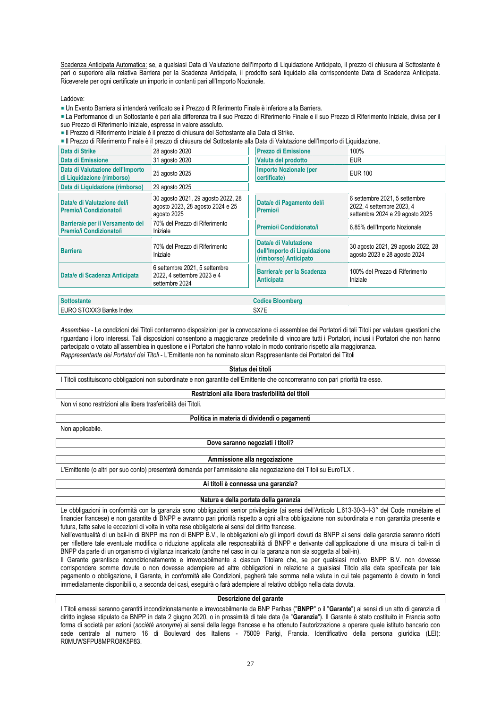Scadenza Anticipata Automatica: se, a qualsiasi Data di Valutazione dell'Importo di Liquidazione Anticipato, il prezzo di chiusura al Sottostante è pari o superiore alla relativa Barriera per la Scadenza Anticipata, il prodotto sarà liquidato alla corrispondente Data di Scadenza Anticipata. Riceverete per ogni certificate un importo in contanti pari all'Importo Nozionale.

Laddove:

Un Evento Barriera si intenderà verificato se il Prezzo di Riferimento Finale è inferiore alla Barriera.

La Performance di un Sottostante è pari alla differenza tra il suo Prezzo di Riferimento Finale e il suo Prezzo di Riferimento Iniziale, divisa per il suo Prezzo di Riferimento Iniziale, espressa in valore assoluto.

Il Prezzo di Riferimento Iniziale è il prezzo di chiusura del Sottostante alla Data di Strike.

Il Prezzo di Riferimento Finale è il prezzo di chiusura del Sottostante alla Data di Valutazione dell'Importo di Liquidazione.

| Data di Strike                                                 | 28 agosto 2020                                                                        | <b>Prezzo di Emissione</b>                                                     | 100%                                                                                          |
|----------------------------------------------------------------|---------------------------------------------------------------------------------------|--------------------------------------------------------------------------------|-----------------------------------------------------------------------------------------------|
| Data di Emissione                                              | 31 agosto 2020                                                                        | Valuta del prodotto                                                            | <b>EUR</b>                                                                                    |
| Data di Valutazione dell'Importo<br>di Liquidazione (rimborso) | 25 agosto 2025                                                                        | <b>Importo Nozionale (per</b><br>certificate)                                  | <b>EUR 100</b>                                                                                |
| Data di Liquidazione (rimborso)                                | 29 agosto 2025                                                                        |                                                                                |                                                                                               |
| Data/e di Valutazione del/i<br>Premio/i Condizionato/i         | 30 agosto 2021, 29 agosto 2022, 28<br>agosto 2023, 28 agosto 2024 e 25<br>agosto 2025 | Data/e di Pagamento del/i<br>Premio/i                                          | 6 settembre 2021, 5 settembre<br>2022, 4 settembre 2023, 4<br>settembre 2024 e 29 agosto 2025 |
| Barriera/e per il Versamento del<br>Premio/i Condizionato/i    | 70% del Prezzo di Riferimento<br>Iniziale                                             | Premio/i Condizionato/i                                                        | 6,85% dell'Importo Nozionale                                                                  |
| <b>Barriera</b>                                                | 70% del Prezzo di Riferimento<br>Iniziale                                             | Data/e di Valutazione<br>dell'Importo di Liquidazione<br>(rimborso) Anticipato | 30 agosto 2021, 29 agosto 2022, 28<br>agosto 2023 e 28 agosto 2024                            |
| Data/e di Scadenza Anticipata                                  | 6 settembre 2021, 5 settembre<br>2022, 4 settembre 2023 e 4<br>settembre 2024         | Barriera/e per la Scadenza<br><b>Anticipata</b>                                | 100% del Prezzo di Riferimento<br>Iniziale                                                    |
| <b>Sottostante</b>                                             |                                                                                       | <b>Codice Bloomberg</b>                                                        |                                                                                               |

EURO STOXX® Banks Index SX7E

*Assemblee* - Le condizioni dei Titoli conterranno disposizioni per la convocazione di assemblee dei Portatori di tali Titoli per valutare questioni che riguardano i loro interessi. Tali disposizioni consentono a maggioranze predefinite di vincolare tutti i Portatori, inclusi i Portatori che non hanno partecipato o votato all'assemblea in questione e i Portatori che hanno votato in modo contrario rispetto alla maggioranza. *Rappresentante dei Portatori dei Titoli* - L'Emittente non ha nominato alcun Rappresentante dei Portatori dei Titoli

#### **Status dei titoli**

I Titoli costituiscono obbligazioni non subordinate e non garantite dell'Emittente che concorreranno con pari priorità tra esse.

#### **Restrizioni alla libera trasferibilità dei titoli**

Non vi sono restrizioni alla libera trasferibilità dei Titoli.

### **Politica in materia di dividendi o pagamenti**

Non applicabile.

# **Dove saranno negoziati i titoli?**

#### **Ammissione alla negoziazione**

L'Emittente (o altri per suo conto) presenterà domanda per l'ammissione alla negoziazione dei Titoli su EuroTLX .

#### **Ai titoli è connessa una garanzia?**

### **Natura e della portata della garanzia**

Le obbligazioni in conformità con la garanzia sono obbligazioni senior privilegiate (ai sensi dell'Articolo L.613-30-3-I-3° del Code monétaire et financier francese) e non garantite di BNPP e avranno pari priorità rispetto a ogni altra obbligazione non subordinata e non garantita presente e futura, fatte salve le eccezioni di volta in volta rese obbligatorie ai sensi del diritto francese.

Nell'eventualità di un bail-in di BNPP ma non di BNPP B.V., le obbligazioni e/o gli importi dovuti da BNPP ai sensi della garanzia saranno ridotti per riflettere tale eventuale modifica o riduzione applicata alle responsabilità di BNPP e derivante dall'applicazione di una misura di bail-in di BNPP da parte di un organismo di vigilanza incaricato (anche nel caso in cui la garanzia non sia soggetta al bail-in).

Il Garante garantisce incondizionatamente e irrevocabilmente a ciascun Titolare che, se per qualsiasi motivo BNPP B.V. non dovesse corrispondere somme dovute o non dovesse adempiere ad altre obbligazioni in relazione a qualsiasi Titolo alla data specificata per tale pagamento o obbligazione, il Garante, in conformità alle Condizioni, pagherà tale somma nella valuta in cui tale pagamento è dovuto in fondi immediatamente disponibili o, a seconda dei casi, eseguirà o farà adempiere al relativo obbligo nella data dovuta.

### **Descrizione del garante**

I Titoli emessi saranno garantiti incondizionatamente e irrevocabilmente da BNP Paribas ("**BNPP**" o il "**Garante**") ai sensi di un atto di garanzia di diritto inglese stipulato da BNPP in data 2 giugno 2020, o in prossimità di tale data (la "**Garanzia**"). Il Garante è stato costituito in Francia sotto forma di società per azioni (*société anonyme*) ai sensi della legge francese e ha ottenuto l'autorizzazione a operare quale istituto bancario con sede centrale al numero 16 di Boulevard des Italiens - 75009 Parigi, Francia. Identificativo della persona giuridica (LEI): R0MUWSFPU8MPRO8K5P83.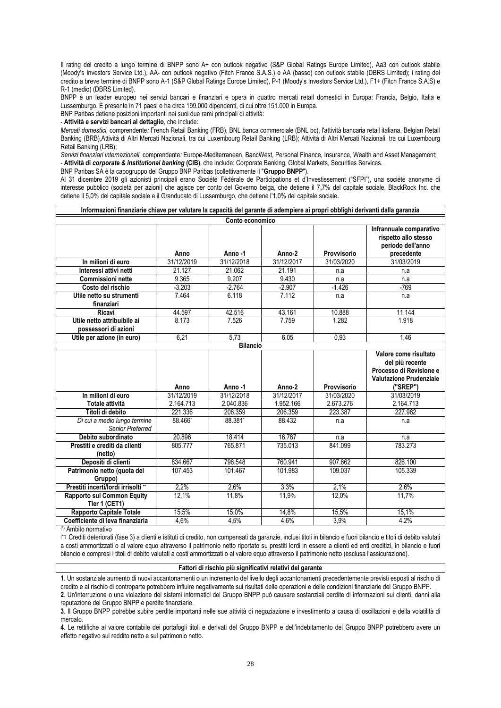Il rating del credito a lungo termine di BNPP sono A+ con outlook negativo (S&P Global Ratings Europe Limited), Aa3 con outlook stabile (Moody's Investors Service Ltd.), AA- con outlook negativo (Fitch France S.A.S.) e AA (basso) con outlook stabile (DBRS Limited); i rating del credito a breve termine di BNPP sono A-1 (S&P Global Ratings Europe Limited), P-1 (Moody's Investors Service Ltd.), F1+ (Fitch France S.A.S) e R-1 (medio) (DBRS Limited).

BNPP è un leader europeo nei servizi bancari e finanziari e opera in quattro mercati retail domestici in Europa: Francia, Belgio, Italia e Lussemburgo. È presente in 71 paesi e ha circa 199.000 dipendenti, di cui oltre 151.000 in Europa.

BNP Paribas detiene posizioni importanti nei suoi due rami principali di attività:

- **Attività e servizi bancari al dettaglio**, che include:

*Mercati domestici,* comprendente*:* French Retail Banking (FRB), BNL banca commerciale (BNL bc), l'attività bancaria retail italiana, Belgian Retail Banking (BRB),Attività di Altri Mercati Nazionali, tra cui Luxembourg Retail Banking (LRB); Attività di Altri Mercati Nazionali, tra cui Luxembourg Retail Banking (LRB);

*Servizi finanziari internazionali,* comprendente*:* Europe-Mediterranean, BancWest, Personal Finance, Insurance, Wealth and Asset Management; - **Attività di** *corporate & institutional banking* **(CIB)**, che include: Corporate Banking, Global Markets, Securities Services.

BNP Paribas SA è la capogruppo del Gruppo BNP Paribas (collettivamente il "**Gruppo BNPP**").

Al 31 dicembre 2019 gli azionisti principali erano Société Fédérale de Participations et d'Investissement ("SFPI"), una société anonyme di interesse pubblico (società per azioni) che agisce per conto del Governo belga, che detiene il 7,7% del capitale sociale, BlackRock Inc. che detiene il 5,0% del capitale sociale e il Granducato di Lussemburgo, che detiene l'1,0% del capitale sociale.

| Informazioni finanziarie chiave per valutare la capacità del garante di adempiere ai propri obblighi derivanti dalla garanzia |                    |                    |                   |                |                                                                                    |
|-------------------------------------------------------------------------------------------------------------------------------|--------------------|--------------------|-------------------|----------------|------------------------------------------------------------------------------------|
|                                                                                                                               |                    | Conto economico    |                   |                |                                                                                    |
|                                                                                                                               | Anno               | Anno-1             | Anno-2            | Provvisorio    | Infrannuale comparativo<br>rispetto allo stesso<br>periodo dell'anno<br>precedente |
| In milioni di euro                                                                                                            | 31/12/2019         | 31/12/2018         | 31/12/2017        | 31/03/2020     | 31/03/2019                                                                         |
| Interessi attivi netti                                                                                                        | 21.127             | 21.062             | 21.191            | n.a            | n.a                                                                                |
| <b>Commissioni nette</b>                                                                                                      | 9.365              | 9.207              | 9.430             | n.a            | n.a                                                                                |
| Costo del rischio                                                                                                             | $-3.203$           | $-2.764$           | $-2.907$          | $-1.426$       | $-769$                                                                             |
| Utile netto su strumenti<br>finanziari                                                                                        | 7.464              | 6.118              | 7.112             | n.a            | n.a                                                                                |
| Ricavi                                                                                                                        | 44.597             | 42.516             | 43.161            | 10.888         | 11.144                                                                             |
| Utile netto attribuibile ai<br>possessori di azioni                                                                           | 8.173              | 7.526              | 7.759             | 1.282          | 1.918                                                                              |
| Utile per azione (in euro)                                                                                                    | 6,21               | 5,73               | 6,05              | 0,93           | 1,46                                                                               |
|                                                                                                                               |                    | <b>Bilancio</b>    |                   |                |                                                                                    |
|                                                                                                                               |                    |                    |                   |                | Valore come risultato<br>del più recente                                           |
|                                                                                                                               |                    |                    |                   |                | Processo di Revisione e<br><b>Valutazione Prudenziale</b>                          |
|                                                                                                                               | Anno               | Anno-1             | Anno-2            | Provvisorio    | ("SREP")                                                                           |
| In milioni di euro                                                                                                            | 31/12/2019         | 31/12/2018         | 31/12/2017        | 31/03/2020     | 31/03/2019                                                                         |
| Totale attività                                                                                                               | 2.164.713          | 2.040.836          | 1.952.166         | 2.673.276      | 2.164.713                                                                          |
| Titoli di debito<br>Di cui a medio lungo termine<br>Senior Preferred                                                          | 221.336<br>88.466* | 206.359<br>88.381* | 206.359<br>88.432 | 223.387<br>n.a | 227.962<br>n.a                                                                     |
| Debito subordinato                                                                                                            | 20.896             | 18.414             | 16.787            | n.a            | n.a                                                                                |
| Prestiti e crediti da clienti<br>(netto)                                                                                      | 805.777            | 765.871            | 735.013           | 841.099        | 783.273                                                                            |
| Depositi di clienti                                                                                                           | 834.667            | 796.548            | 760.941           | 907.662        | 826.100                                                                            |
| Patrimonio netto (quota del<br>Gruppo)                                                                                        | 107.453            | 101.467            | 101.983           | 109.037        | 105.339                                                                            |
| Prestiti incerti/lordi irrisolti **                                                                                           | 2,2%               | 2,6%               | 3,3%              | 2.1%           | 2.6%                                                                               |
| <b>Rapporto sul Common Equity</b><br>Tier 1 (CET1)                                                                            | $12,1\%$           | 11,8%              | 11,9%             | 12,0%          | 11,7%                                                                              |
| <b>Rapporto Capitale Totale</b>                                                                                               | 15,5%<br>4.6%      | 15,0%<br>4,5%      | 14,8%<br>4,6%     | 15,5%<br>3,9%  | 15,1%<br>4.2%                                                                      |

(\*) Ambito normativo

(\*\*) Crediti deteriorati (fase 3) a clienti e istituti di credito, non compensati da garanzie, inclusi titoli in bilancio e fuori bilancio e titoli di debito valutati a costi ammortizzati o al valore equo attraverso il patrimonio netto riportato su prestiti lordi in essere a clienti ed enti creditizi, in bilancio e fuori bilancio e compresi i titoli di debito valutati a costi ammortizzati o al valore equo attraverso il patrimonio netto (esclusa l'assicurazione).

## **Fattori di rischio più significativi relativi del garante**

**1**. Un sostanziale aumento di nuovi accantonamenti o un incremento del livello degli accantonamenti precedentemente previsti esposti al rischio di credito e al rischio di controparte potrebbero influire negativamente sui risultati delle operazioni e delle condizioni finanziarie del Gruppo BNPP. **2**. Un'interruzione o una violazione dei sistemi informatici del Gruppo BNPP può causare sostanziali perdite di informazioni sui clienti, danni alla reputazione del Gruppo BNPP e perdite finanziarie.

**3**. Il Gruppo BNPP potrebbe subire perdite importanti nelle sue attività di negoziazione e investimento a causa di oscillazioni e della volatilità di mercato.

**4**. Le rettifiche al valore contabile dei portafogli titoli e derivati del Gruppo BNPP e dell'indebitamento del Gruppo BNPP potrebbero avere un effetto negativo sul reddito netto e sul patrimonio netto.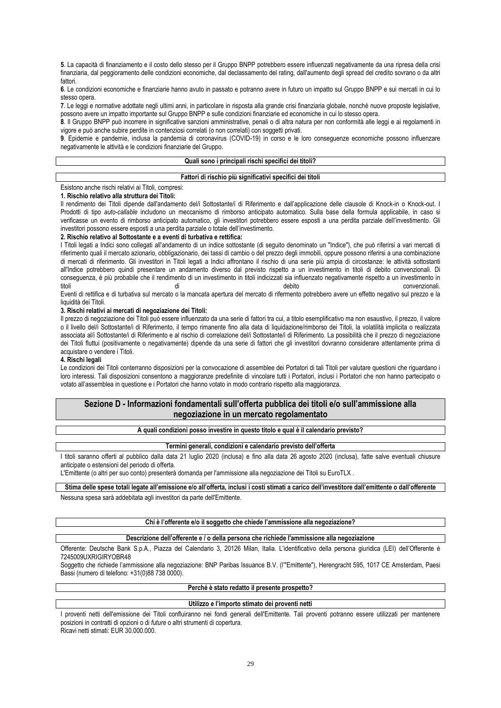**5**. La capacità di finanziamento e il costo dello stesso per il Gruppo BNPP potrebbero essere influenzati negativamente da una ripresa della crisi finanziaria, dal peggioramento delle condizioni economiche, dal declassamento del rating, dall'aumento degli spread del credito sovrano o da altri fattori.

**6**. Le condizioni economiche e finanziarie hanno avuto in passato e potranno avere in futuro un impatto sul Gruppo BNPP e sui mercati in cui lo stesso opera.

**7**. Le leggi e normative adottate negli ultimi anni, in particolare in risposta alla grande crisi finanziaria globale, nonché nuove proposte legislative, possono avere un impatto importante sul Gruppo BNPP e sulle condizioni finanziarie ed economiche in cui lo stesso opera.

**8**. Il Gruppo BNPP può incorrere in significative sanzioni amministrative, penali o di altra natura per non conformità alle leggi e ai regolamenti in vigore e può anche subire perdite in contenziosi correlati (o non correlati) con soggetti privati.

**9**. Epidemie e pandemie, inclusa la pandemia di coronavirus (COVID-19) in corso e le loro conseguenze economiche possono influenzare negativamente le attività e le condizioni finanziarie del Gruppo.

## **Quali sono i principali rischi specifici dei titoli?**

### **Fattori di rischio più significativi specifici dei titoli**

Esistono anche rischi relativi ai Titoli, compresi:

### **1. Rischio relativo alla struttura dei Titoli:**

Il rendimento dei Titoli dipende dall'andamento del/i Sottostante/i di Riferimento e dall'applicazione delle clausole di Knock-in o Knock-out. I Prodotti di tipo *auto-callable* includono un meccanismo di rimborso anticipato automatico. Sulla base della formula applicabile, in caso si verificasse un evento di rimborso anticipato automatico, gli investitori potrebbero essere esposti a una perdita parziale dell'investimento. Gli investitori possono essere esposti a una perdita parziale o totale dell'investimento.

## **2. Rischio relativo al Sottostante e a eventi di turbativa e rettifica:**

I Titoli legati a Indici sono collegati all'andamento di un indice sottostante (di seguito denominato un "Indice"), che può riferirsi a vari mercati di riferimento quali il mercato azionario, obbligazionario, dei tassi di cambio o del prezzo degli immobili, oppure possono riferirsi a una combinazione di mercati di riferimento. Gli investitori in Titoli legati a Indici affrontano il rischio di una serie più ampia di circostanze: le attività sottostanti all'Indice potrebbero quindi presentare un andamento diverso dal previsto rispetto a un investimento in titoli di debito convenzionali. Di conseguenza, è più probabile che il rendimento di un investimento in titoli indicizzati sia influenzato negativamente rispetto a un investimento in titoli di debito convenzionali. Eventi di rettifica e di turbativa sul mercato o la mancata apertura del mercato di rifermento potrebbero avere un effetto negativo sul prezzo e la liquidità dei Titoli.

### **3. Rischi relativi ai mercati di negoziazione dei Titoli:**

Il prezzo di negoziazione dei Titoli può essere influenzato da una serie di fattori tra cui, a titolo esemplificativo ma non esaustivo, il prezzo, il valore o il livello del/i Sottostante/i di Riferimento, il tempo rimanente fino alla data di liquidazione/rimborso dei Titoli, la volatilità implicita o realizzata associata al/i Sottostante/i di Riferimento e al rischio di correlazione del/i Sottostante/i di Riferimento. La possibilità che il prezzo di negoziazione dei Titoli fluttui (positivamente o negativamente) dipende da una serie di fattori che gli investitori dovranno considerare attentamente prima di acquistare o vendere i Titoli.

#### **4. Rischi legali**

Le condizioni dei Titoli conterranno disposizioni per la convocazione di assemblee dei Portatori di tali Titoli per valutare questioni che riguardano i loro interessi. Tali disposizioni consentono a maggioranze predefinite di vincolare tutti i Portatori, inclusi i Portatori che non hanno partecipato o votato all'assemblea in questione e i Portatori che hanno votato in modo contrario rispetto alla maggioranza.

## **Sezione D - Informazioni fondamentali sull'offerta pubblica dei titoli e/o sull'ammissione alla negoziazione in un mercato regolamentato**

### **A quali condizioni posso investire in questo titolo e qual è il calendario previsto?**

#### **Termini generali, condizioni e calendario previsto dell'offerta**

I titoli saranno offerti al pubblico dalla data 21 luglio 2020 (inclusa) e fino alla data 26 agosto 2020 (inclusa), fatte salve eventuali chiusure anticipate o estensioni del periodo di offerta.

L'Emittente (o altri per suo conto) presenterà domanda per l'ammissione alla negoziazione dei Titoli su EuroTLX .

**Stima delle spese totali legate all'emissione e/o all'offerta, inclusi i costi stimati a carico dell'investitore dall'emittente o dall'offerente** Nessuna spesa sarà addebitata agli investitori da parte dell'Emittente.

### **Chi è l'offerente e/o il soggetto che chiede l'ammissione alla negoziazione?**

### **Descrizione dell'offerente e / o della persona che richiede l'ammissione alla negoziazione**

Offerente: Deutsche Bank S.p.A., Piazza del Calendario 3, 20126 Milan, Italia. L'identificativo della persona giuridica (LEI) dell'Offerente è 7245009UXRIGIRYOBR48

Soggetto che richiede l'ammissione alla negoziazione: BNP Paribas Issuance B.V. (l'"Emittente"), Herengracht 595, 1017 CE Amsterdam, Paesi Bassi (numero di telefono: +31(0)88 738 0000).

## **Perché è stato redatto il presente prospetto?**

### **Utilizzo e l'importo stimato dei proventi netti**

I proventi netti dell'emissione dei Titoli confluiranno nei fondi generali dell'Emittente. Tali proventi potranno essere utilizzati per mantenere posizioni in contratti di opzioni o di *future* o altri strumenti di copertura. Ricavi netti stimati: EUR 30.000.000.